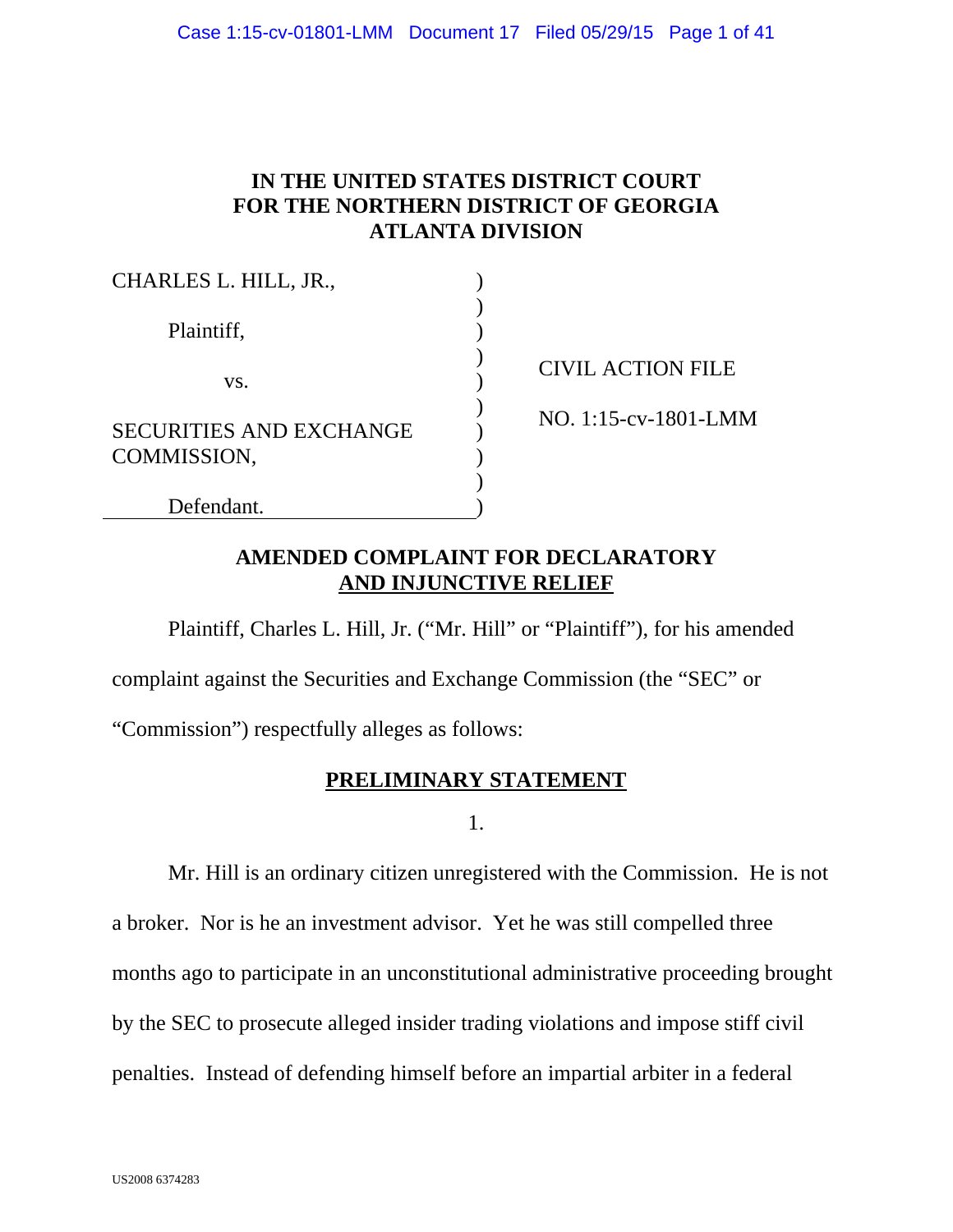# **IN THE UNITED STATES DISTRICT COURT FOR THE NORTHERN DISTRICT OF GEORGIA ATLANTA DIVISION**

| CHARLES L. HILL, JR.,                         |  |
|-----------------------------------------------|--|
| Plaintiff,                                    |  |
| VS.                                           |  |
| <b>SECURITIES AND EXCHANGE</b><br>COMMISSION, |  |
| Defendant.                                    |  |

CIVIL ACTION FILE

NO. 1:15-cv-1801-LMM

# **AMENDED COMPLAINT FOR DECLARATORY AND INJUNCTIVE RELIEF**

Plaintiff, Charles L. Hill, Jr. ("Mr. Hill" or "Plaintiff"), for his amended

complaint against the Securities and Exchange Commission (the "SEC" or

"Commission") respectfully alleges as follows:

# **PRELIMINARY STATEMENT**

1.

Mr. Hill is an ordinary citizen unregistered with the Commission. He is not a broker. Nor is he an investment advisor. Yet he was still compelled three months ago to participate in an unconstitutional administrative proceeding brought by the SEC to prosecute alleged insider trading violations and impose stiff civil penalties. Instead of defending himself before an impartial arbiter in a federal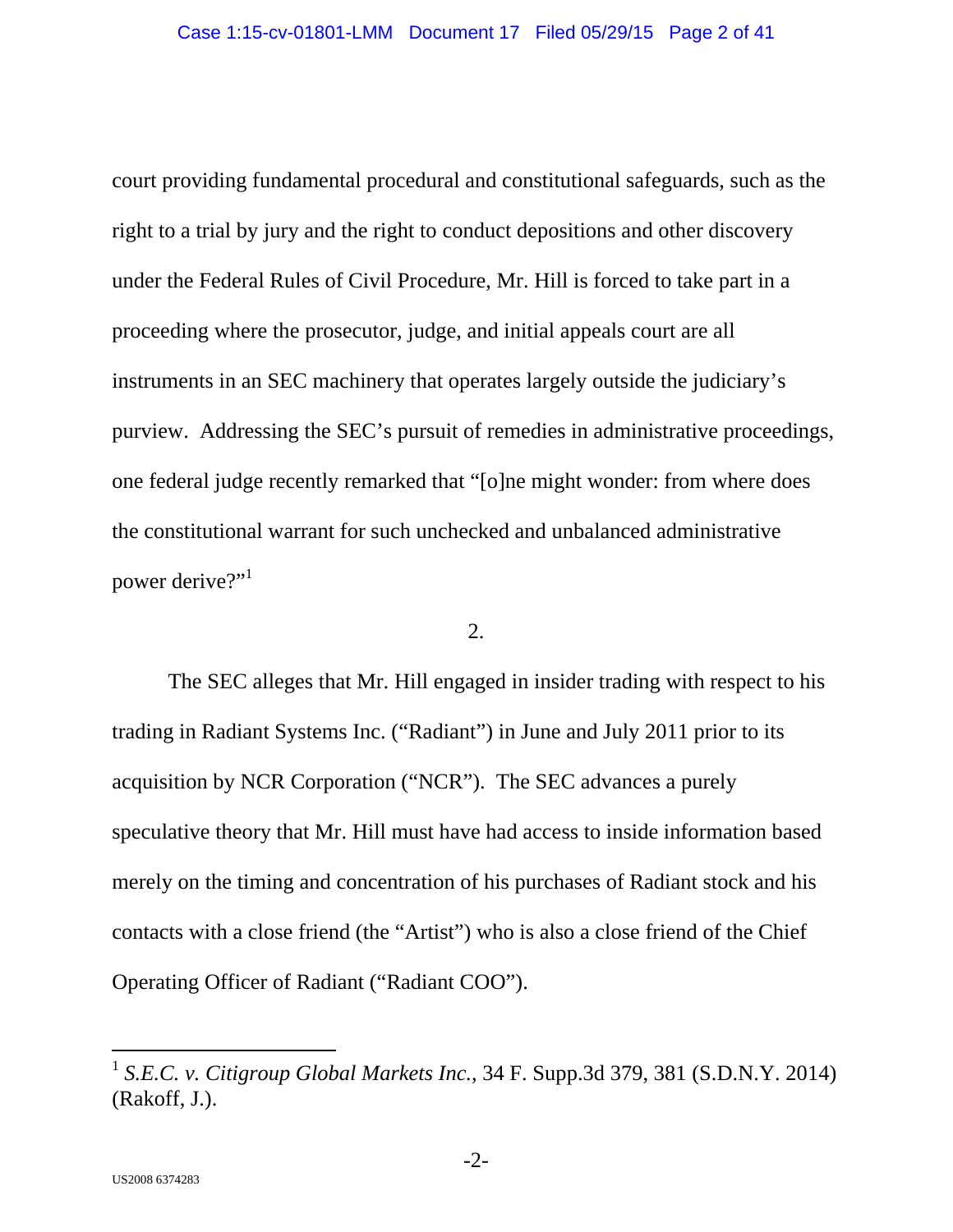court providing fundamental procedural and constitutional safeguards, such as the right to a trial by jury and the right to conduct depositions and other discovery under the Federal Rules of Civil Procedure, Mr. Hill is forced to take part in a proceeding where the prosecutor, judge, and initial appeals court are all instruments in an SEC machinery that operates largely outside the judiciary's purview. Addressing the SEC's pursuit of remedies in administrative proceedings, one federal judge recently remarked that "[o]ne might wonder: from where does the constitutional warrant for such unchecked and unbalanced administrative power derive?"<sup>1</sup>

#### 2.

The SEC alleges that Mr. Hill engaged in insider trading with respect to his trading in Radiant Systems Inc. ("Radiant") in June and July 2011 prior to its acquisition by NCR Corporation ("NCR"). The SEC advances a purely speculative theory that Mr. Hill must have had access to inside information based merely on the timing and concentration of his purchases of Radiant stock and his contacts with a close friend (the "Artist") who is also a close friend of the Chief Operating Officer of Radiant ("Radiant COO").

<sup>1</sup> *S.E.C. v. Citigroup Global Markets Inc.*, 34 F. Supp.3d 379, 381 (S.D.N.Y. 2014) (Rakoff, J.).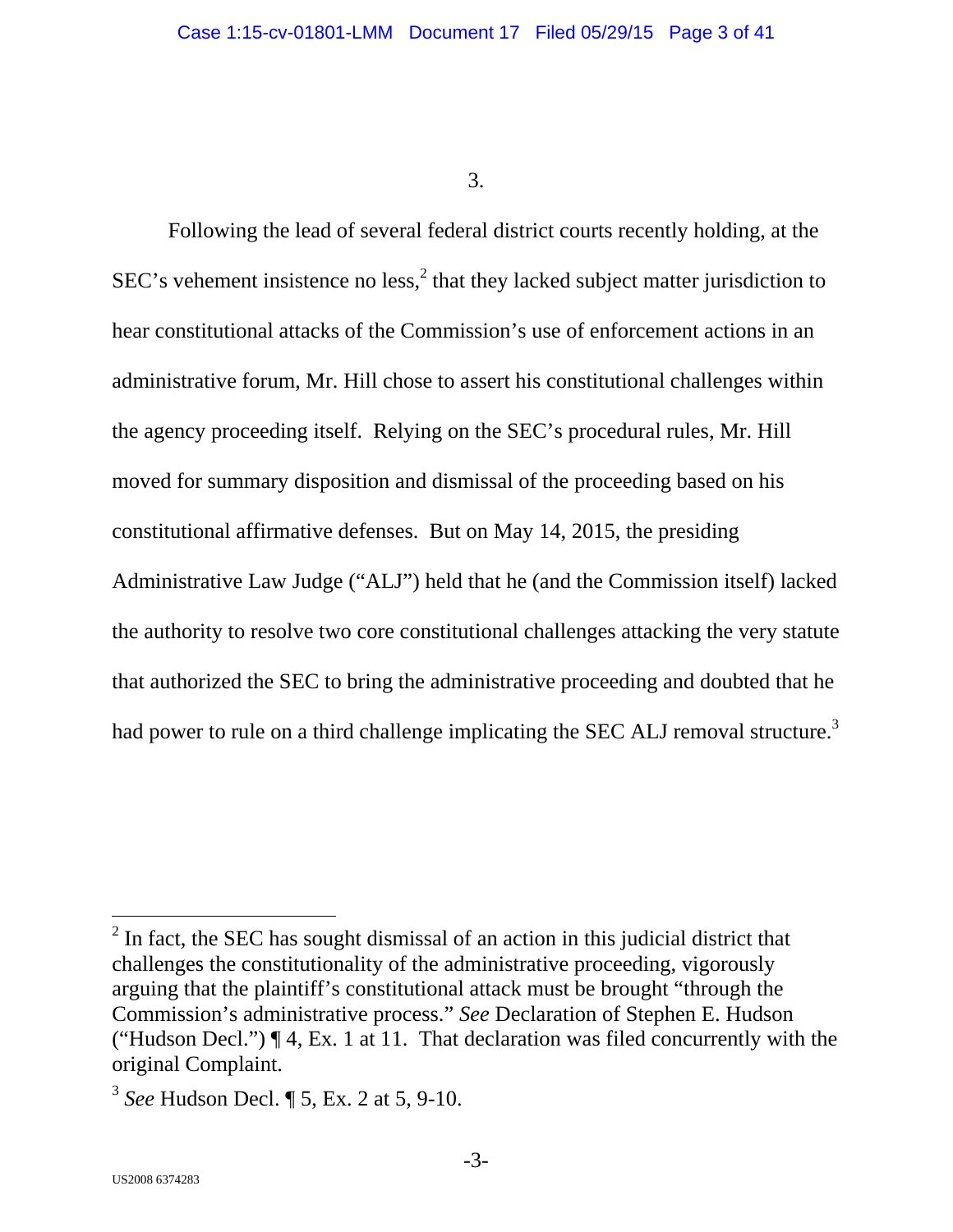Following the lead of several federal district courts recently holding, at the SEC's vehement insistence no less, $<sup>2</sup>$  that they lacked subject matter jurisdiction to</sup> hear constitutional attacks of the Commission's use of enforcement actions in an administrative forum, Mr. Hill chose to assert his constitutional challenges within the agency proceeding itself. Relying on the SEC's procedural rules, Mr. Hill moved for summary disposition and dismissal of the proceeding based on his constitutional affirmative defenses. But on May 14, 2015, the presiding Administrative Law Judge ("ALJ") held that he (and the Commission itself) lacked the authority to resolve two core constitutional challenges attacking the very statute that authorized the SEC to bring the administrative proceeding and doubted that he had power to rule on a third challenge implicating the SEC ALJ removal structure.<sup>3</sup>

 $2^2$  In fact, the SEC has sought dismissal of an action in this judicial district that challenges the constitutionality of the administrative proceeding, vigorously arguing that the plaintiff's constitutional attack must be brought "through the Commission's administrative process." *See* Declaration of Stephen E. Hudson ("Hudson Decl.")  $\P$  4, Ex. 1 at 11. That declaration was filed concurrently with the original Complaint.

<sup>3</sup> *See* Hudson Decl. ¶ 5, Ex. 2 at 5, 9-10.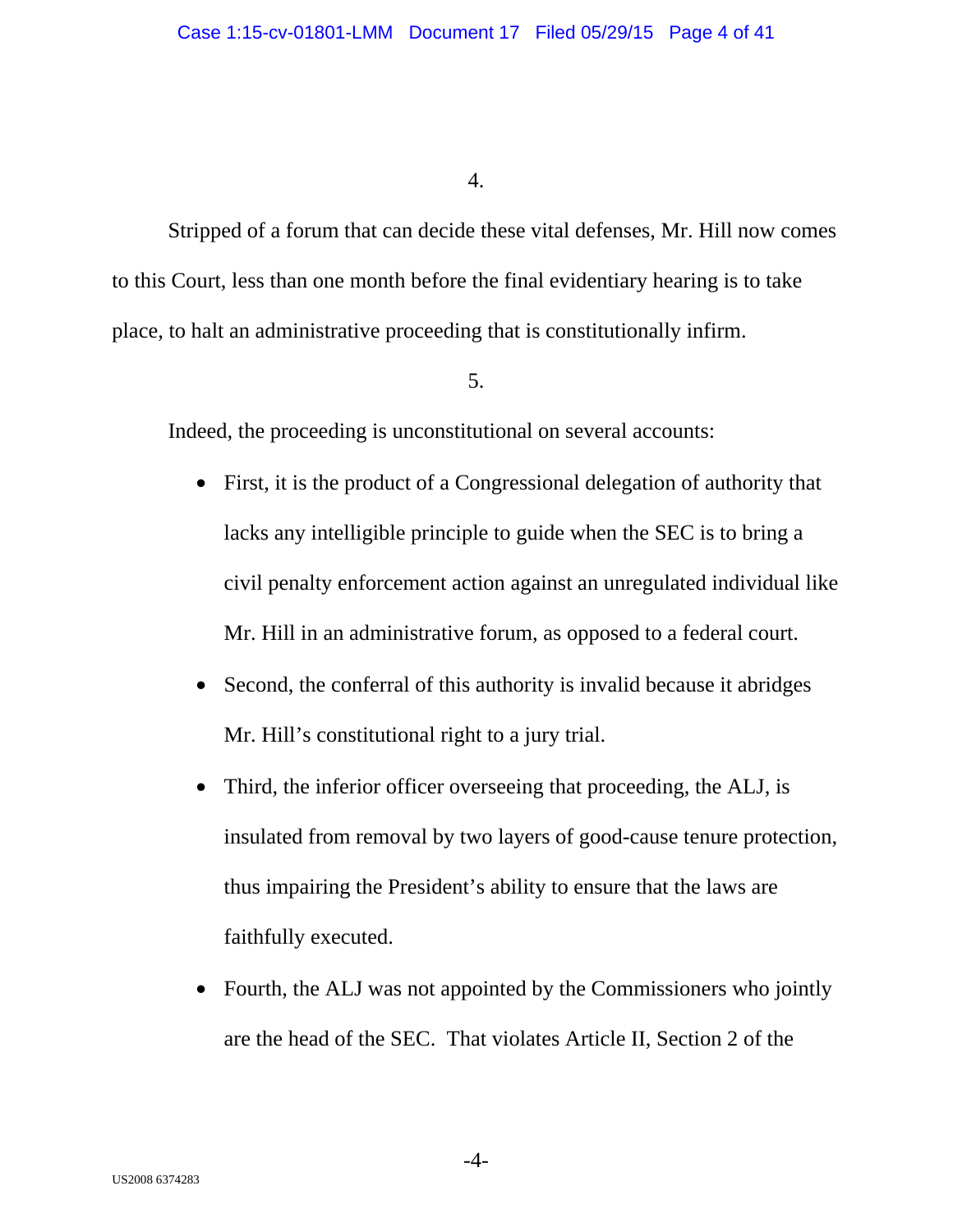Stripped of a forum that can decide these vital defenses, Mr. Hill now comes to this Court, less than one month before the final evidentiary hearing is to take place, to halt an administrative proceeding that is constitutionally infirm.

## 5.

Indeed, the proceeding is unconstitutional on several accounts:

- First, it is the product of a Congressional delegation of authority that lacks any intelligible principle to guide when the SEC is to bring a civil penalty enforcement action against an unregulated individual like Mr. Hill in an administrative forum, as opposed to a federal court.
- Second, the conferral of this authority is invalid because it abridges Mr. Hill's constitutional right to a jury trial.
- Third, the inferior officer overseeing that proceeding, the ALJ, is insulated from removal by two layers of good-cause tenure protection, thus impairing the President's ability to ensure that the laws are faithfully executed.
- Fourth, the ALJ was not appointed by the Commissioners who jointly are the head of the SEC. That violates Article II, Section 2 of the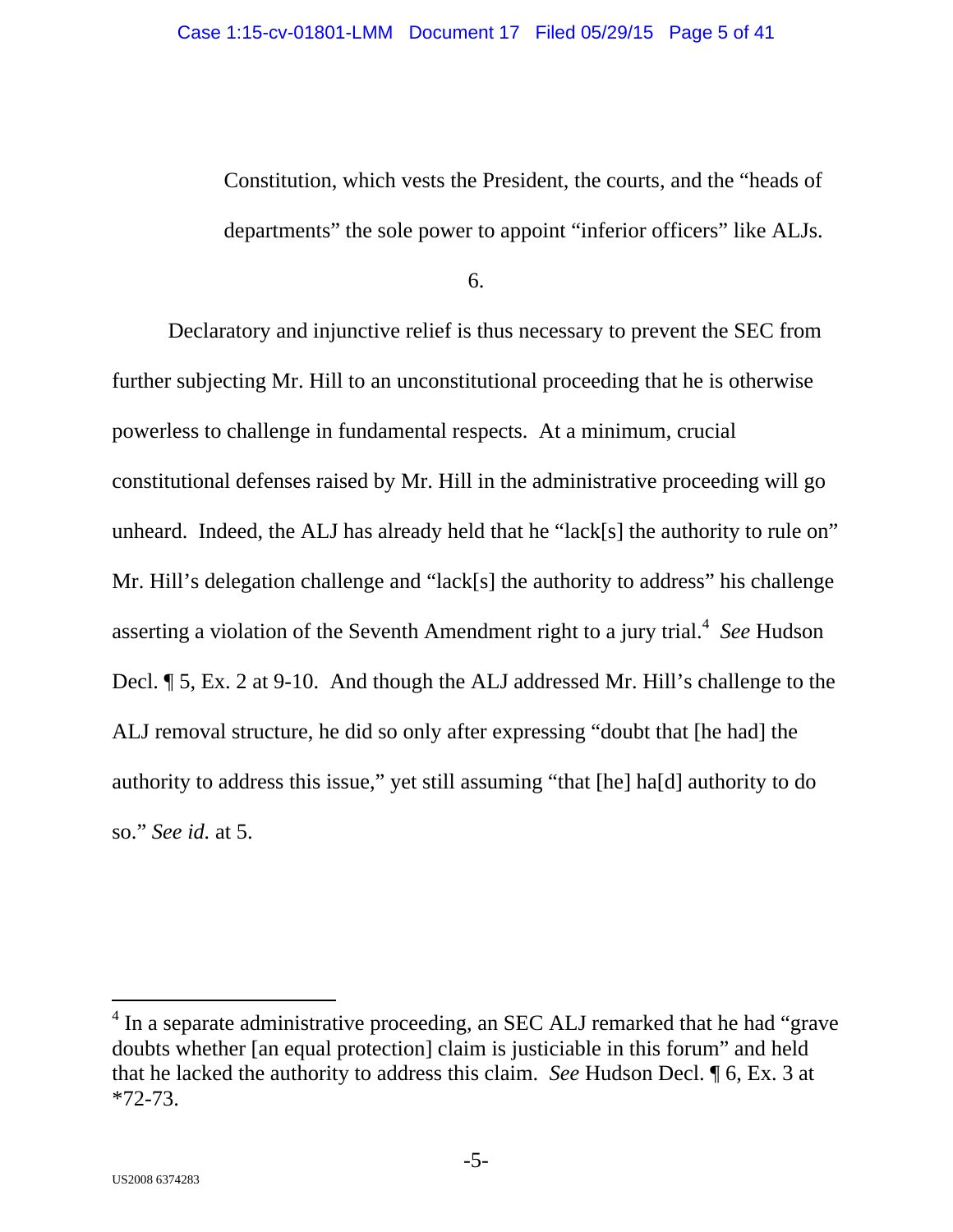Constitution, which vests the President, the courts, and the "heads of departments" the sole power to appoint "inferior officers" like ALJs.

6.

Declaratory and injunctive relief is thus necessary to prevent the SEC from further subjecting Mr. Hill to an unconstitutional proceeding that he is otherwise powerless to challenge in fundamental respects. At a minimum, crucial constitutional defenses raised by Mr. Hill in the administrative proceeding will go unheard. Indeed, the ALJ has already held that he "lack[s] the authority to rule on" Mr. Hill's delegation challenge and "lack[s] the authority to address" his challenge asserting a violation of the Seventh Amendment right to a jury trial.<sup>4</sup> See Hudson Decl. ¶ 5, Ex. 2 at 9-10. And though the ALJ addressed Mr. Hill's challenge to the ALJ removal structure, he did so only after expressing "doubt that [he had] the authority to address this issue," yet still assuming "that [he] ha[d] authority to do so." *See id.* at 5.

 $4$  In a separate administrative proceeding, an SEC ALJ remarked that he had "grave" doubts whether [an equal protection] claim is justiciable in this forum" and held that he lacked the authority to address this claim. *See* Hudson Decl. ¶ 6, Ex. 3 at  $*72-73.$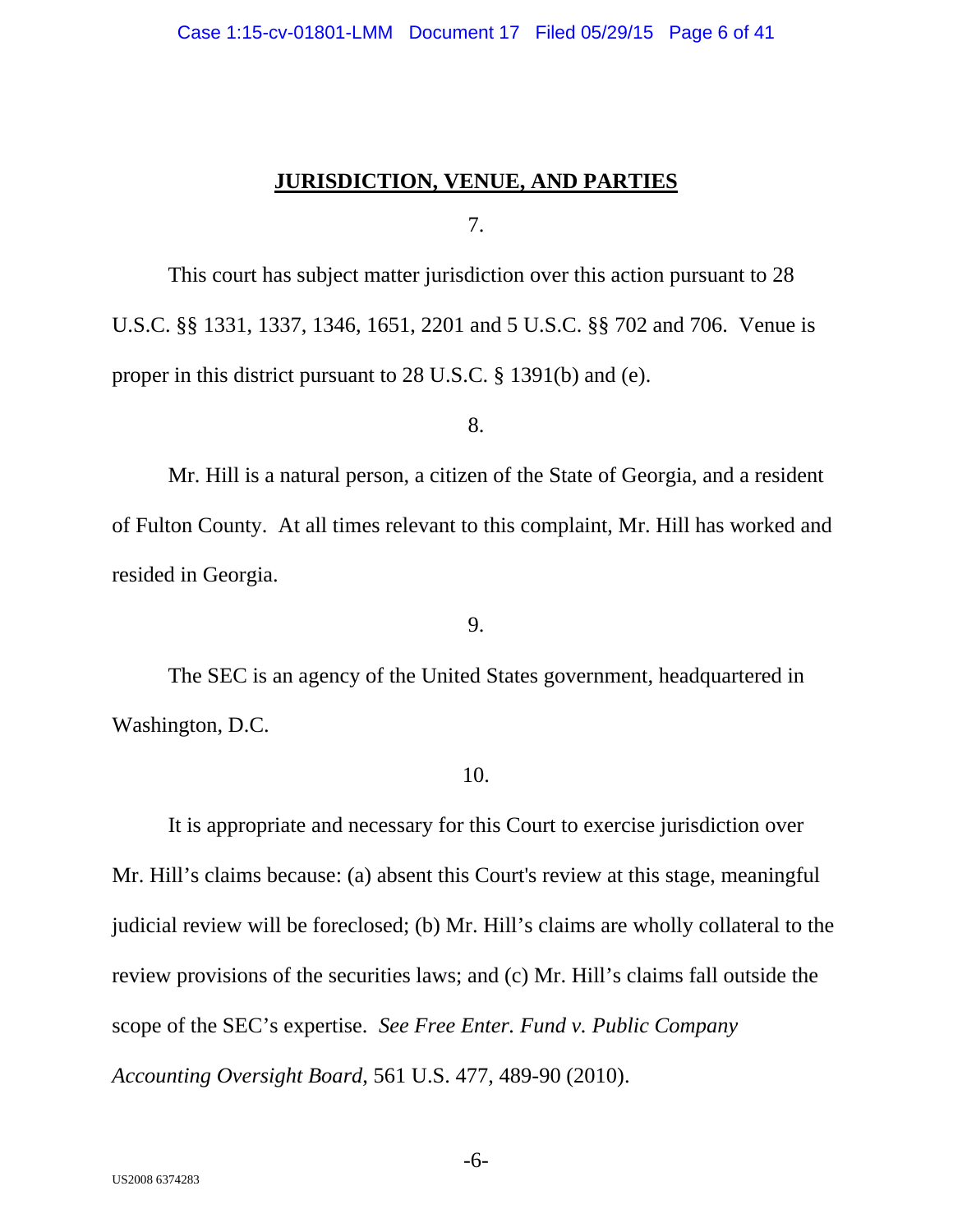## **JURISDICTION, VENUE, AND PARTIES**

7.

This court has subject matter jurisdiction over this action pursuant to 28 U.S.C. §§ 1331, 1337, 1346, 1651, 2201 and 5 U.S.C. §§ 702 and 706. Venue is proper in this district pursuant to 28 U.S.C. § 1391(b) and (e).

8.

Mr. Hill is a natural person, a citizen of the State of Georgia, and a resident of Fulton County. At all times relevant to this complaint, Mr. Hill has worked and resided in Georgia.

9.

The SEC is an agency of the United States government, headquartered in Washington, D.C.

#### 10.

It is appropriate and necessary for this Court to exercise jurisdiction over Mr. Hill's claims because: (a) absent this Court's review at this stage, meaningful judicial review will be foreclosed; (b) Mr. Hill's claims are wholly collateral to the review provisions of the securities laws; and (c) Mr. Hill's claims fall outside the scope of the SEC's expertise. *See Free Enter. Fund v. Public Company Accounting Oversight Board*, 561 U.S. 477, 489-90 (2010).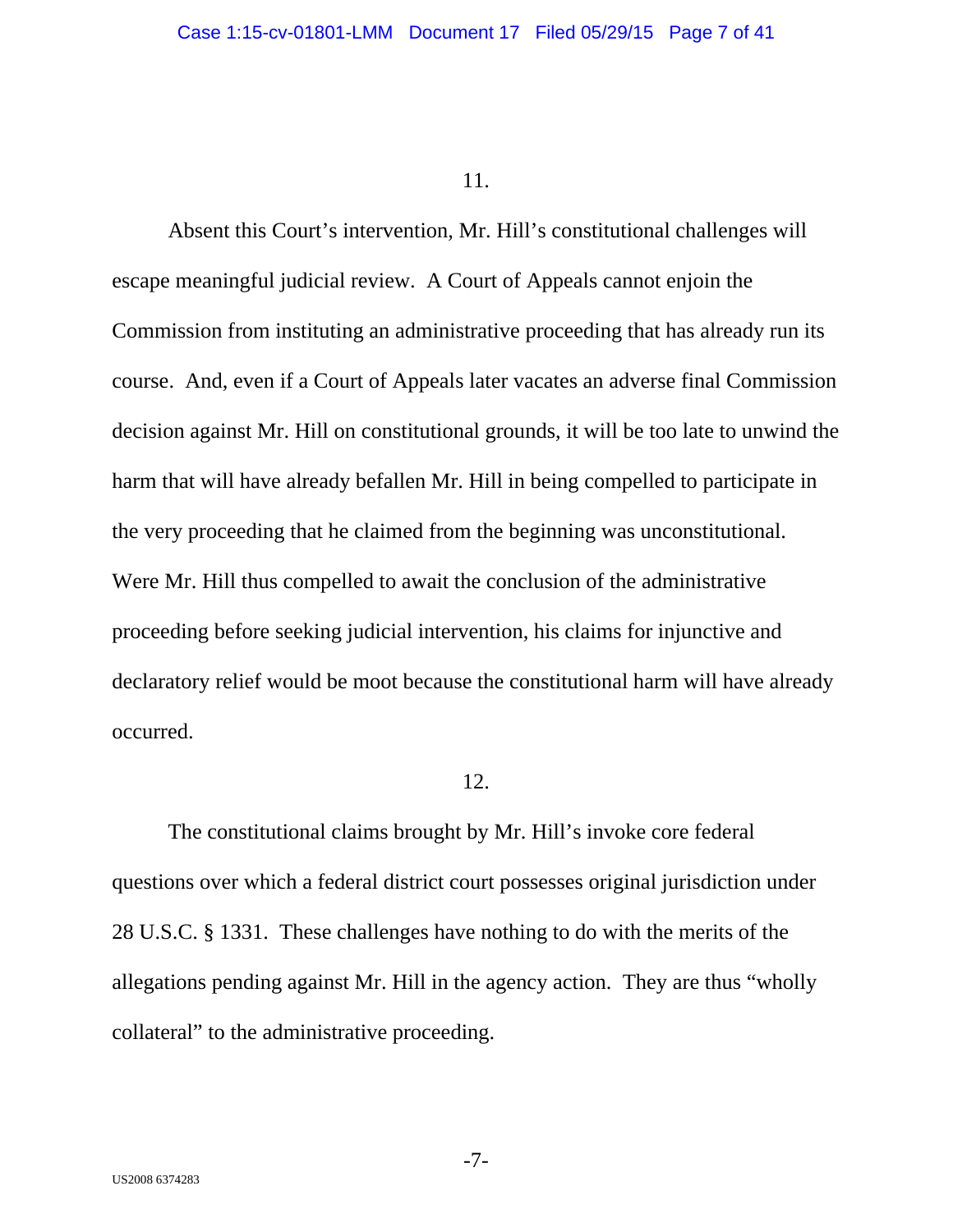Absent this Court's intervention, Mr. Hill's constitutional challenges will escape meaningful judicial review. A Court of Appeals cannot enjoin the Commission from instituting an administrative proceeding that has already run its course. And, even if a Court of Appeals later vacates an adverse final Commission decision against Mr. Hill on constitutional grounds, it will be too late to unwind the harm that will have already befallen Mr. Hill in being compelled to participate in the very proceeding that he claimed from the beginning was unconstitutional. Were Mr. Hill thus compelled to await the conclusion of the administrative proceeding before seeking judicial intervention, his claims for injunctive and declaratory relief would be moot because the constitutional harm will have already occurred.

## 12.

The constitutional claims brought by Mr. Hill's invoke core federal questions over which a federal district court possesses original jurisdiction under 28 U.S.C. § 1331. These challenges have nothing to do with the merits of the allegations pending against Mr. Hill in the agency action. They are thus "wholly collateral" to the administrative proceeding.

-7-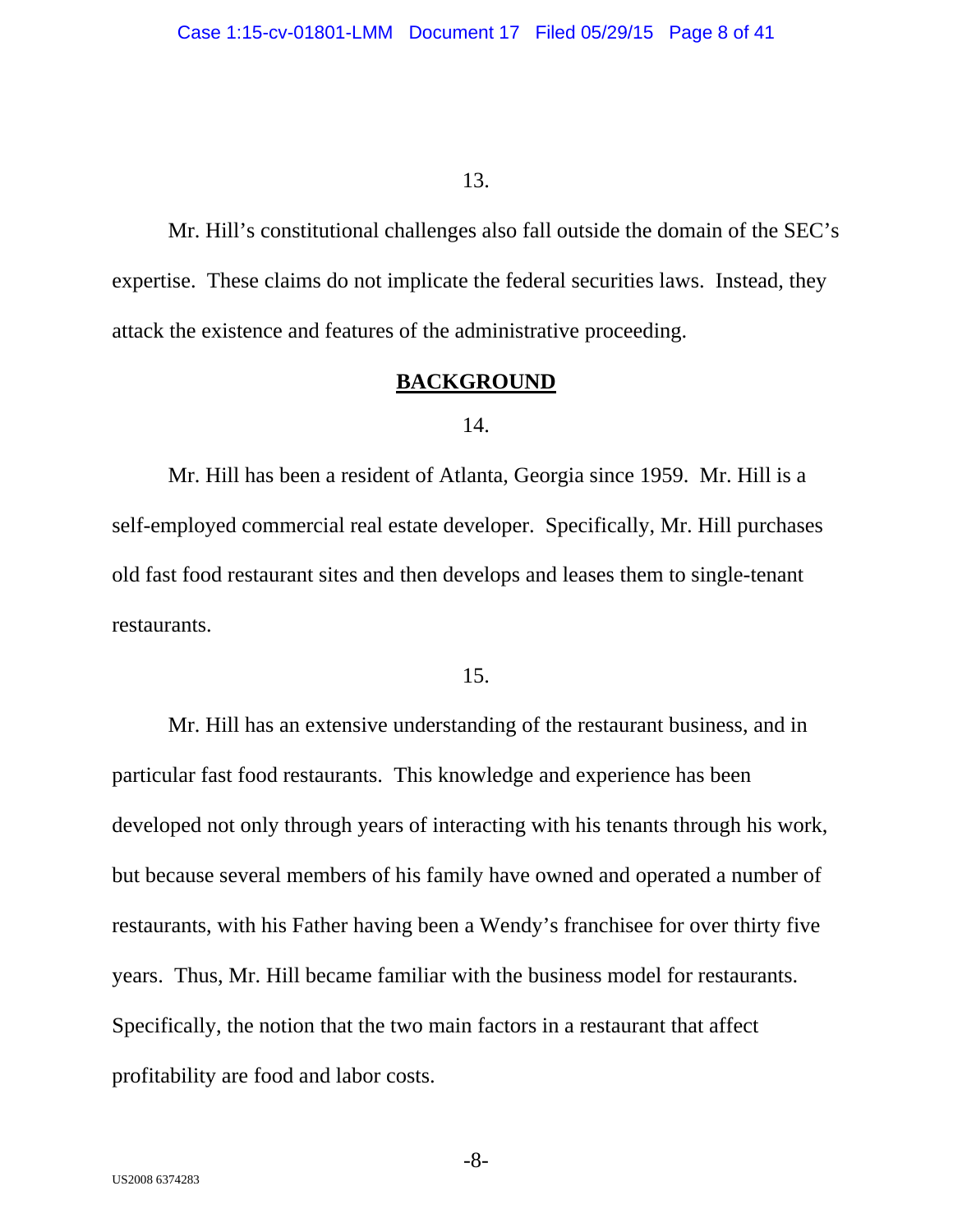Mr. Hill's constitutional challenges also fall outside the domain of the SEC's expertise. These claims do not implicate the federal securities laws. Instead, they attack the existence and features of the administrative proceeding.

# **BACKGROUND**

#### 14.

Mr. Hill has been a resident of Atlanta, Georgia since 1959. Mr. Hill is a self-employed commercial real estate developer. Specifically, Mr. Hill purchases old fast food restaurant sites and then develops and leases them to single-tenant restaurants.

#### 15.

Mr. Hill has an extensive understanding of the restaurant business, and in particular fast food restaurants. This knowledge and experience has been developed not only through years of interacting with his tenants through his work, but because several members of his family have owned and operated a number of restaurants, with his Father having been a Wendy's franchisee for over thirty five years. Thus, Mr. Hill became familiar with the business model for restaurants. Specifically, the notion that the two main factors in a restaurant that affect profitability are food and labor costs.

-8-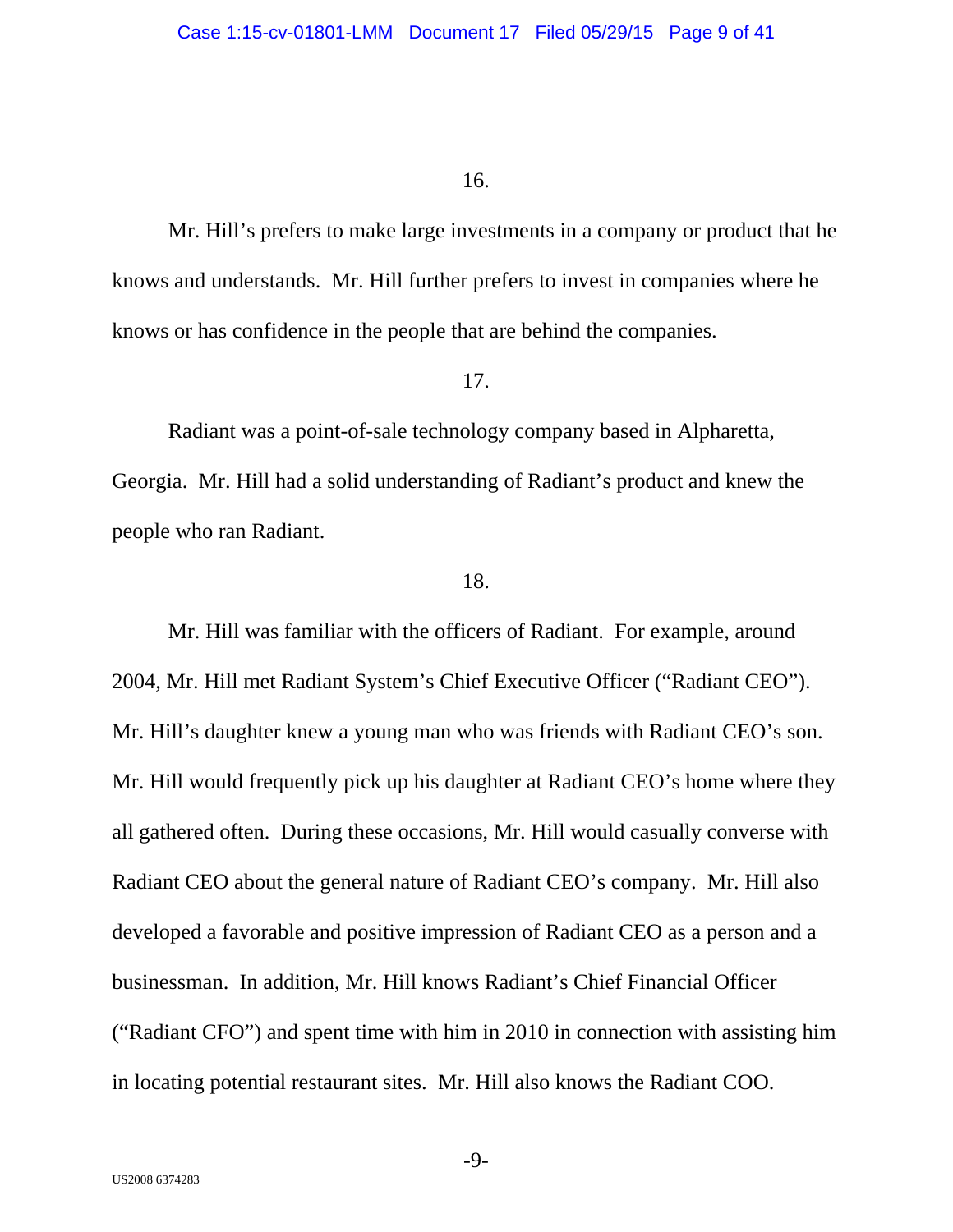Mr. Hill's prefers to make large investments in a company or product that he knows and understands. Mr. Hill further prefers to invest in companies where he knows or has confidence in the people that are behind the companies.

#### 17.

Radiant was a point-of-sale technology company based in Alpharetta, Georgia. Mr. Hill had a solid understanding of Radiant's product and knew the people who ran Radiant.

### 18.

Mr. Hill was familiar with the officers of Radiant. For example, around 2004, Mr. Hill met Radiant System's Chief Executive Officer ("Radiant CEO"). Mr. Hill's daughter knew a young man who was friends with Radiant CEO's son. Mr. Hill would frequently pick up his daughter at Radiant CEO's home where they all gathered often. During these occasions, Mr. Hill would casually converse with Radiant CEO about the general nature of Radiant CEO's company. Mr. Hill also developed a favorable and positive impression of Radiant CEO as a person and a businessman. In addition, Mr. Hill knows Radiant's Chief Financial Officer ("Radiant CFO") and spent time with him in 2010 in connection with assisting him in locating potential restaurant sites. Mr. Hill also knows the Radiant COO.

-9-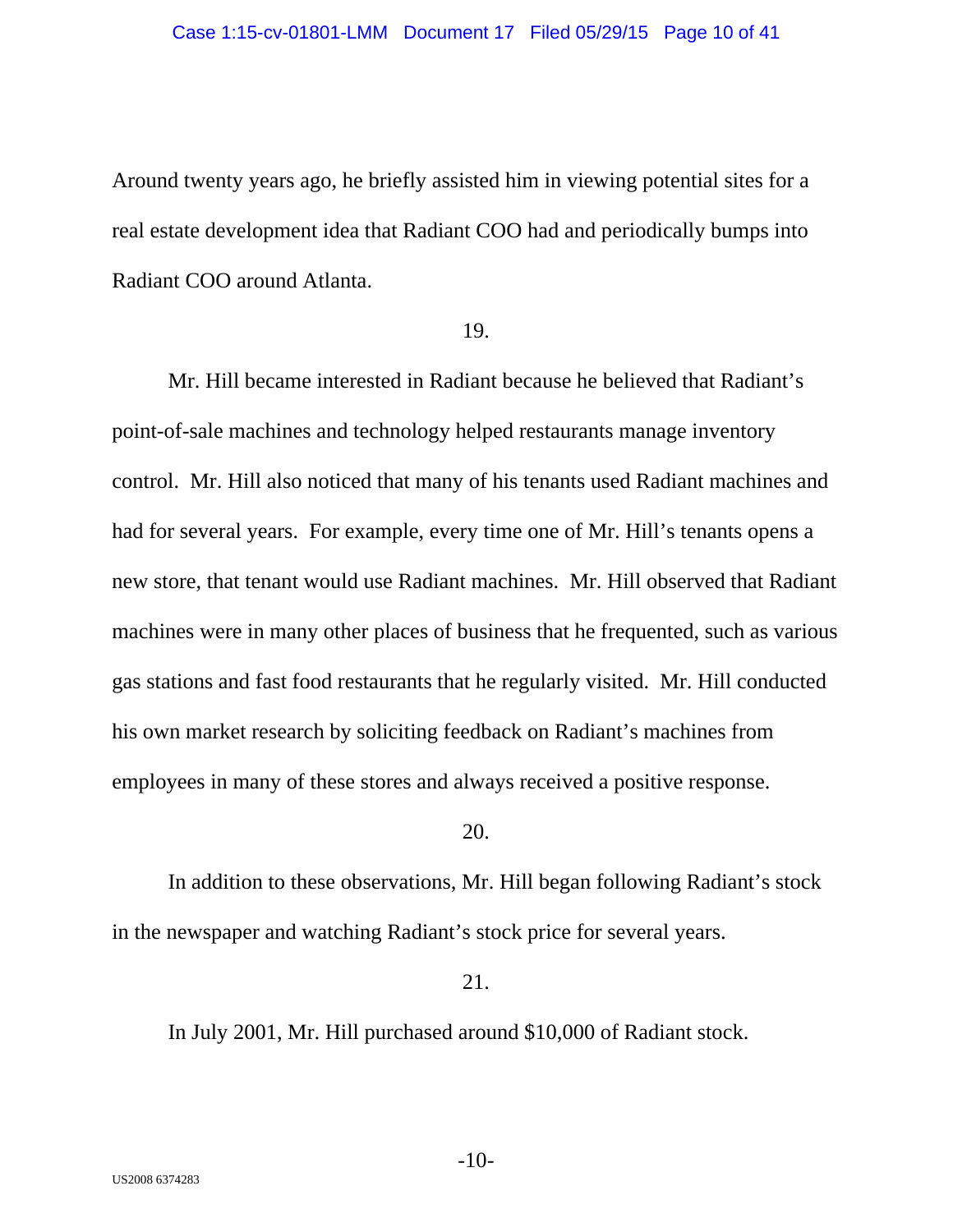Around twenty years ago, he briefly assisted him in viewing potential sites for a real estate development idea that Radiant COO had and periodically bumps into Radiant COO around Atlanta.

#### 19.

Mr. Hill became interested in Radiant because he believed that Radiant's point-of-sale machines and technology helped restaurants manage inventory control. Mr. Hill also noticed that many of his tenants used Radiant machines and had for several years. For example, every time one of Mr. Hill's tenants opens a new store, that tenant would use Radiant machines. Mr. Hill observed that Radiant machines were in many other places of business that he frequented, such as various gas stations and fast food restaurants that he regularly visited. Mr. Hill conducted his own market research by soliciting feedback on Radiant's machines from employees in many of these stores and always received a positive response.

## 20.

In addition to these observations, Mr. Hill began following Radiant's stock in the newspaper and watching Radiant's stock price for several years.

21.

In July 2001, Mr. Hill purchased around \$10,000 of Radiant stock.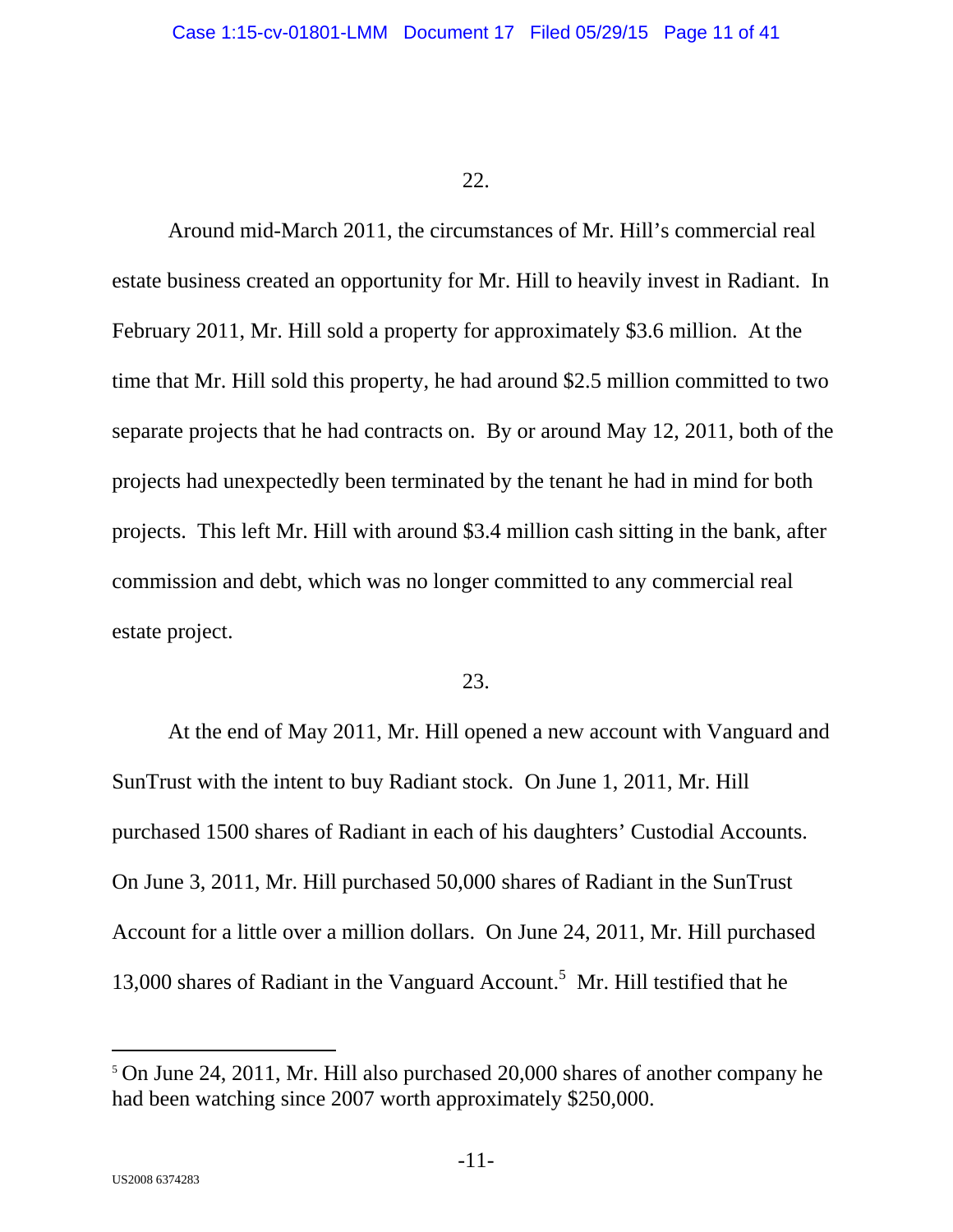Around mid-March 2011, the circumstances of Mr. Hill's commercial real estate business created an opportunity for Mr. Hill to heavily invest in Radiant. In February 2011, Mr. Hill sold a property for approximately \$3.6 million. At the time that Mr. Hill sold this property, he had around \$2.5 million committed to two separate projects that he had contracts on. By or around May 12, 2011, both of the projects had unexpectedly been terminated by the tenant he had in mind for both projects. This left Mr. Hill with around \$3.4 million cash sitting in the bank, after commission and debt, which was no longer committed to any commercial real estate project.

## 23.

At the end of May 2011, Mr. Hill opened a new account with Vanguard and SunTrust with the intent to buy Radiant stock. On June 1, 2011, Mr. Hill purchased 1500 shares of Radiant in each of his daughters' Custodial Accounts. On June 3, 2011, Mr. Hill purchased 50,000 shares of Radiant in the SunTrust Account for a little over a million dollars. On June 24, 2011, Mr. Hill purchased 13,000 shares of Radiant in the Vanguard Account.<sup>5</sup> Mr. Hill testified that he

<sup>5</sup> On June 24, 2011, Mr. Hill also purchased 20,000 shares of another company he had been watching since 2007 worth approximately \$250,000.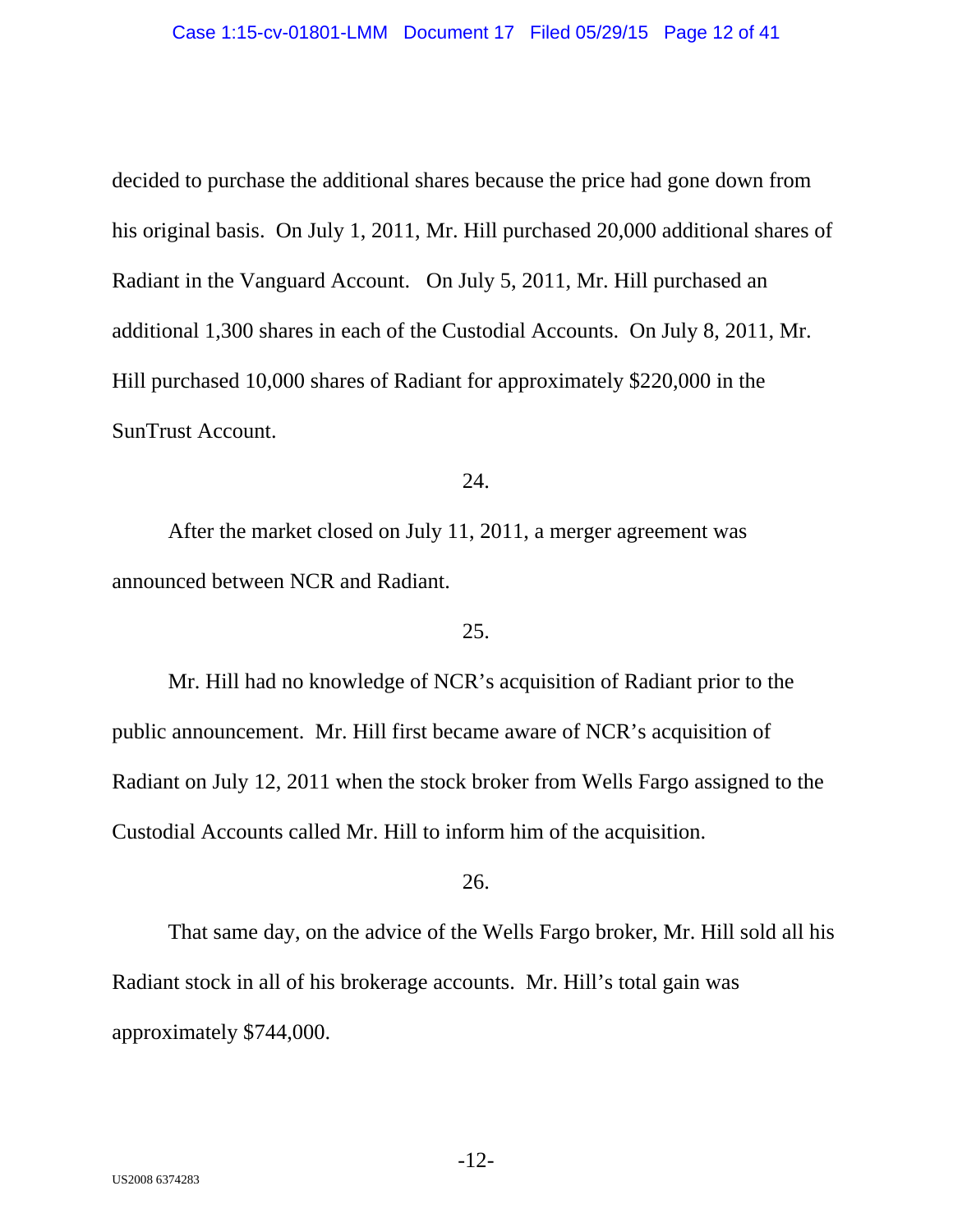decided to purchase the additional shares because the price had gone down from his original basis. On July 1, 2011, Mr. Hill purchased 20,000 additional shares of Radiant in the Vanguard Account. On July 5, 2011, Mr. Hill purchased an additional 1,300 shares in each of the Custodial Accounts. On July 8, 2011, Mr. Hill purchased 10,000 shares of Radiant for approximately \$220,000 in the SunTrust Account.

### 24.

After the market closed on July 11, 2011, a merger agreement was announced between NCR and Radiant.

## 25.

Mr. Hill had no knowledge of NCR's acquisition of Radiant prior to the public announcement. Mr. Hill first became aware of NCR's acquisition of Radiant on July 12, 2011 when the stock broker from Wells Fargo assigned to the Custodial Accounts called Mr. Hill to inform him of the acquisition.

## 26.

That same day, on the advice of the Wells Fargo broker, Mr. Hill sold all his Radiant stock in all of his brokerage accounts. Mr. Hill's total gain was approximately \$744,000.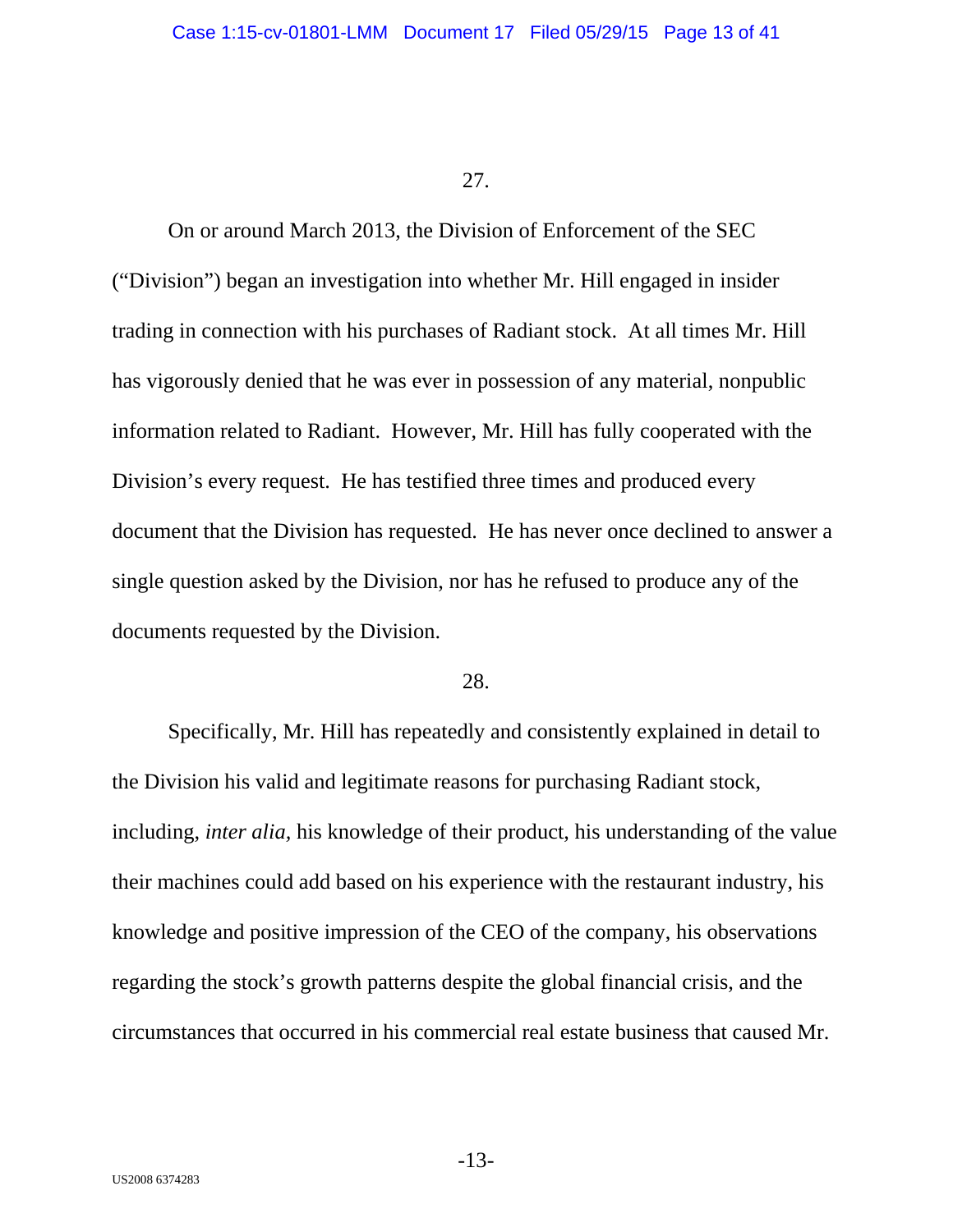On or around March 2013, the Division of Enforcement of the SEC ("Division") began an investigation into whether Mr. Hill engaged in insider trading in connection with his purchases of Radiant stock. At all times Mr. Hill has vigorously denied that he was ever in possession of any material, nonpublic information related to Radiant. However, Mr. Hill has fully cooperated with the Division's every request. He has testified three times and produced every document that the Division has requested. He has never once declined to answer a single question asked by the Division, nor has he refused to produce any of the documents requested by the Division.

#### 28.

Specifically, Mr. Hill has repeatedly and consistently explained in detail to the Division his valid and legitimate reasons for purchasing Radiant stock, including, *inter alia,* his knowledge of their product, his understanding of the value their machines could add based on his experience with the restaurant industry, his knowledge and positive impression of the CEO of the company, his observations regarding the stock's growth patterns despite the global financial crisis, and the circumstances that occurred in his commercial real estate business that caused Mr.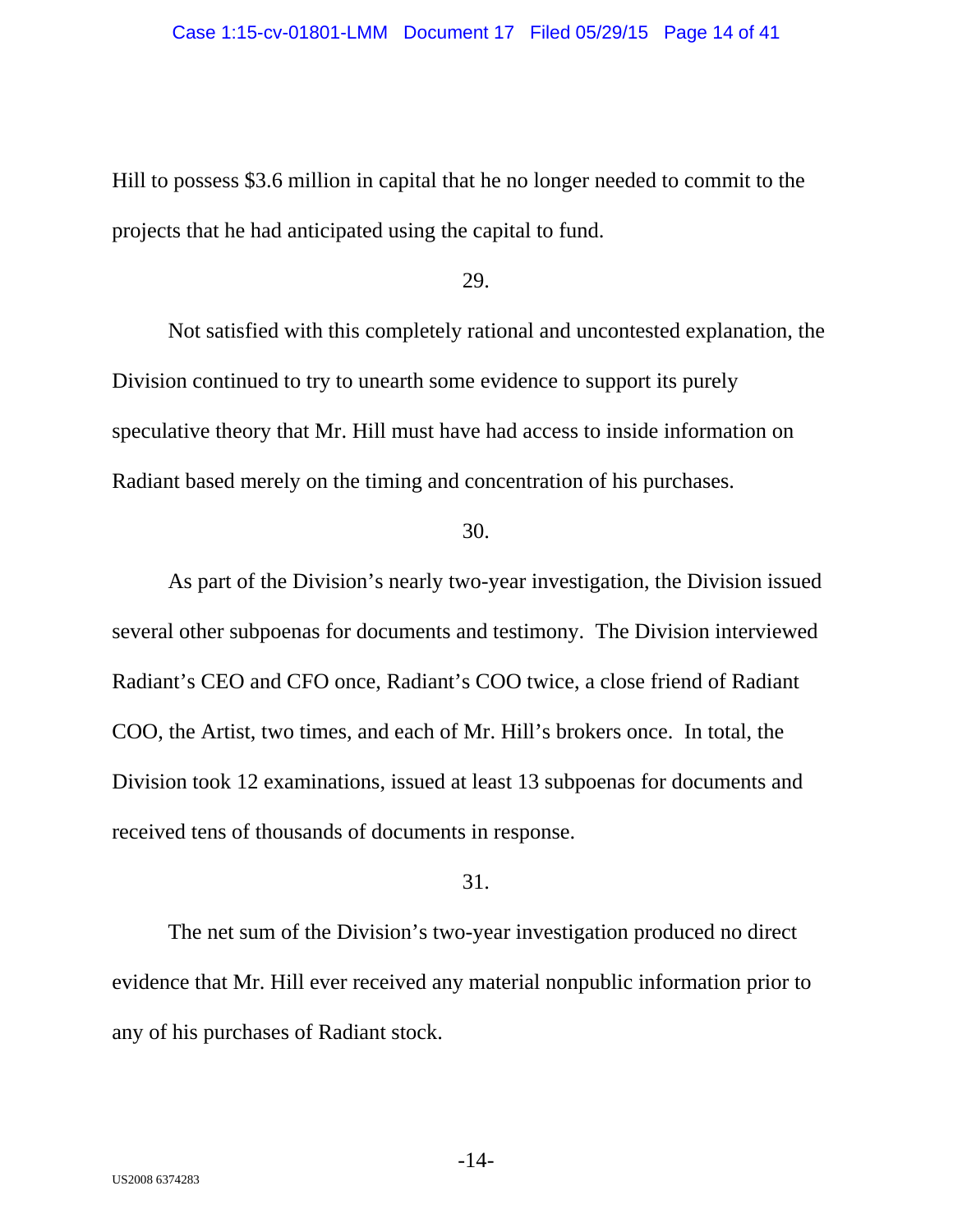Hill to possess \$3.6 million in capital that he no longer needed to commit to the projects that he had anticipated using the capital to fund.

29.

Not satisfied with this completely rational and uncontested explanation, the Division continued to try to unearth some evidence to support its purely speculative theory that Mr. Hill must have had access to inside information on Radiant based merely on the timing and concentration of his purchases.

#### 30.

As part of the Division's nearly two-year investigation, the Division issued several other subpoenas for documents and testimony. The Division interviewed Radiant's CEO and CFO once, Radiant's COO twice, a close friend of Radiant COO, the Artist, two times, and each of Mr. Hill's brokers once. In total, the Division took 12 examinations, issued at least 13 subpoenas for documents and received tens of thousands of documents in response.

## 31.

The net sum of the Division's two-year investigation produced no direct evidence that Mr. Hill ever received any material nonpublic information prior to any of his purchases of Radiant stock.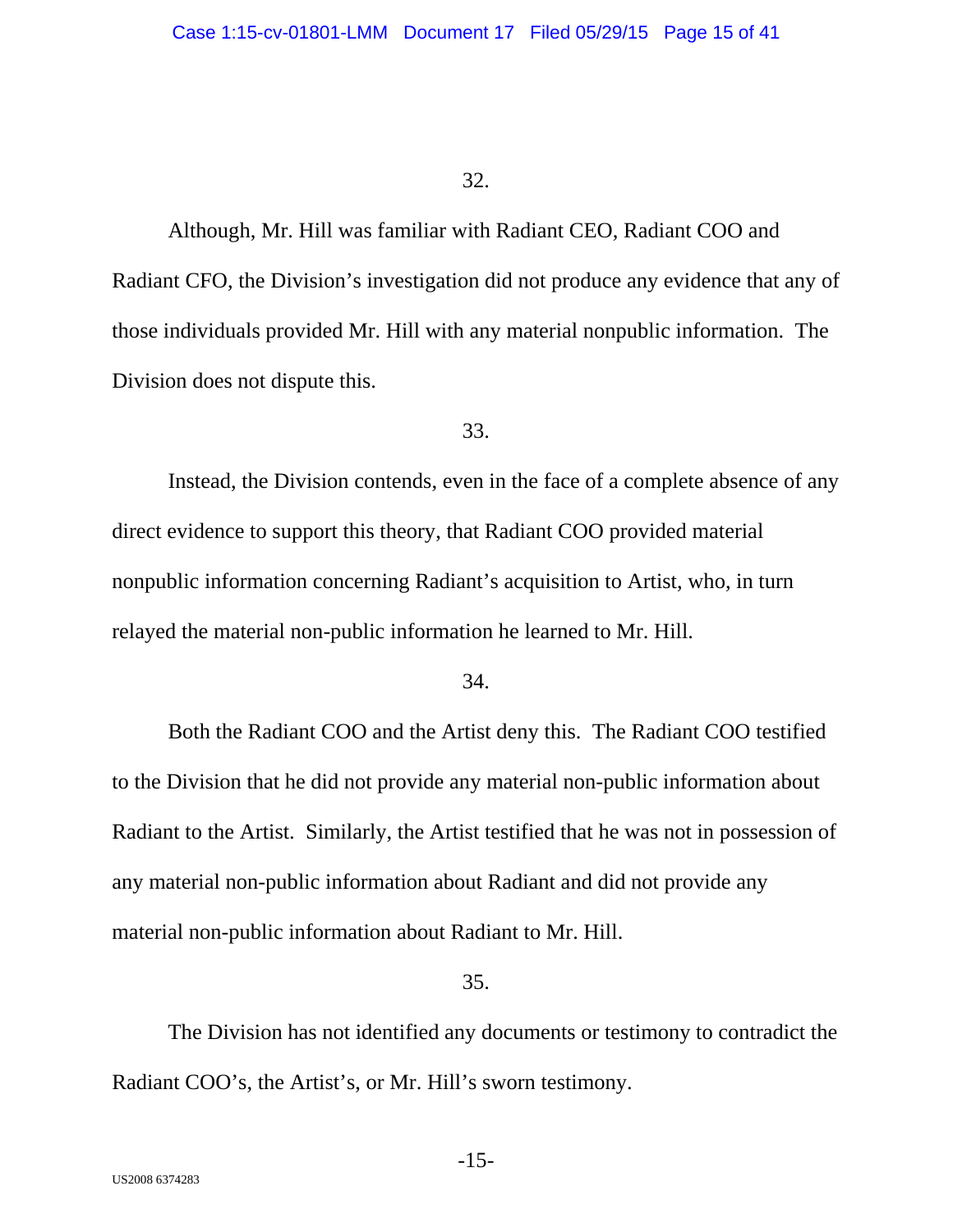Although, Mr. Hill was familiar with Radiant CEO, Radiant COO and Radiant CFO, the Division's investigation did not produce any evidence that any of those individuals provided Mr. Hill with any material nonpublic information. The Division does not dispute this.

## 33.

Instead, the Division contends, even in the face of a complete absence of any direct evidence to support this theory, that Radiant COO provided material nonpublic information concerning Radiant's acquisition to Artist, who, in turn relayed the material non-public information he learned to Mr. Hill.

#### 34.

Both the Radiant COO and the Artist deny this. The Radiant COO testified to the Division that he did not provide any material non-public information about Radiant to the Artist. Similarly, the Artist testified that he was not in possession of any material non-public information about Radiant and did not provide any material non-public information about Radiant to Mr. Hill.

#### 35.

The Division has not identified any documents or testimony to contradict the Radiant COO's, the Artist's, or Mr. Hill's sworn testimony.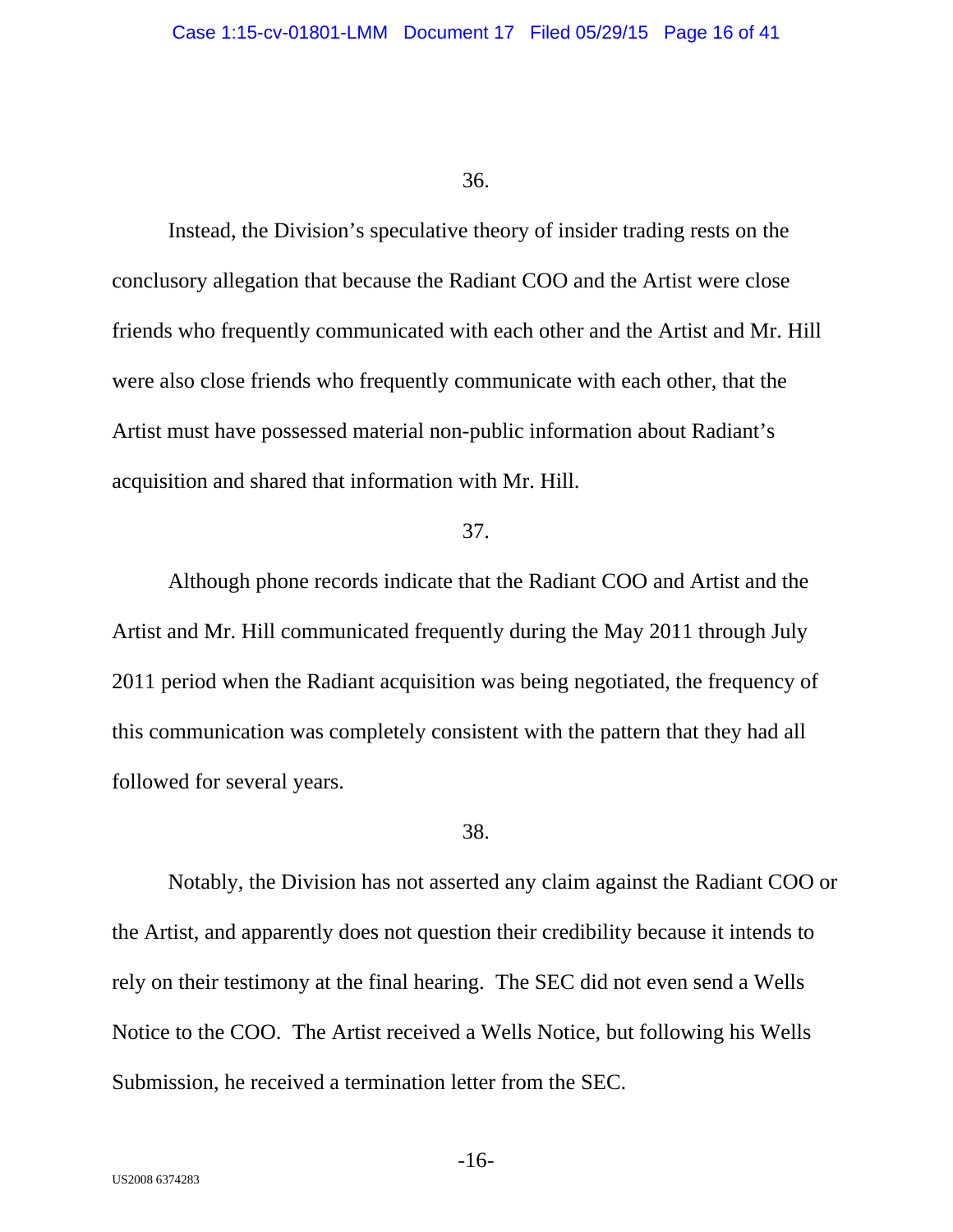Instead, the Division's speculative theory of insider trading rests on the conclusory allegation that because the Radiant COO and the Artist were close friends who frequently communicated with each other and the Artist and Mr. Hill were also close friends who frequently communicate with each other, that the Artist must have possessed material non-public information about Radiant's acquisition and shared that information with Mr. Hill.

#### 37.

Although phone records indicate that the Radiant COO and Artist and the Artist and Mr. Hill communicated frequently during the May 2011 through July 2011 period when the Radiant acquisition was being negotiated, the frequency of this communication was completely consistent with the pattern that they had all followed for several years.

#### 38.

Notably, the Division has not asserted any claim against the Radiant COO or the Artist, and apparently does not question their credibility because it intends to rely on their testimony at the final hearing. The SEC did not even send a Wells Notice to the COO. The Artist received a Wells Notice, but following his Wells Submission, he received a termination letter from the SEC.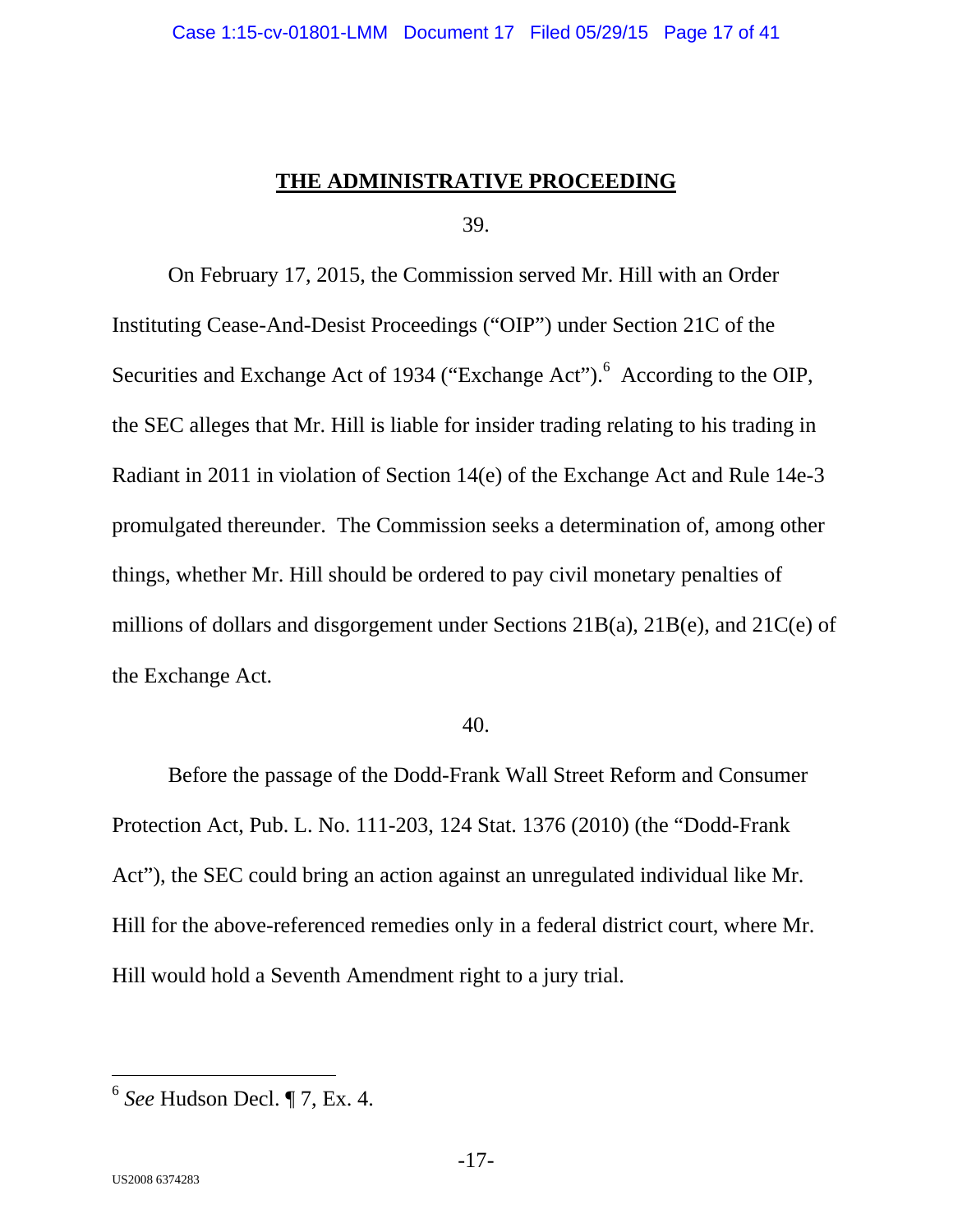## **THE ADMINISTRATIVE PROCEEDING**

39.

On February 17, 2015, the Commission served Mr. Hill with an Order Instituting Cease-And-Desist Proceedings ("OIP") under Section 21C of the Securities and Exchange Act of 1934 ("Exchange Act").<sup>6</sup> According to the OIP, the SEC alleges that Mr. Hill is liable for insider trading relating to his trading in Radiant in 2011 in violation of Section 14(e) of the Exchange Act and Rule 14e-3 promulgated thereunder. The Commission seeks a determination of, among other things, whether Mr. Hill should be ordered to pay civil monetary penalties of millions of dollars and disgorgement under Sections 21B(a), 21B(e), and 21C(e) of the Exchange Act.

#### 40.

Before the passage of the Dodd-Frank Wall Street Reform and Consumer Protection Act, Pub. L. No. 111-203, 124 Stat. 1376 (2010) (the "Dodd-Frank Act"), the SEC could bring an action against an unregulated individual like Mr. Hill for the above-referenced remedies only in a federal district court, where Mr. Hill would hold a Seventh Amendment right to a jury trial.

<sup>6</sup> *See* Hudson Decl. ¶ 7, Ex. 4.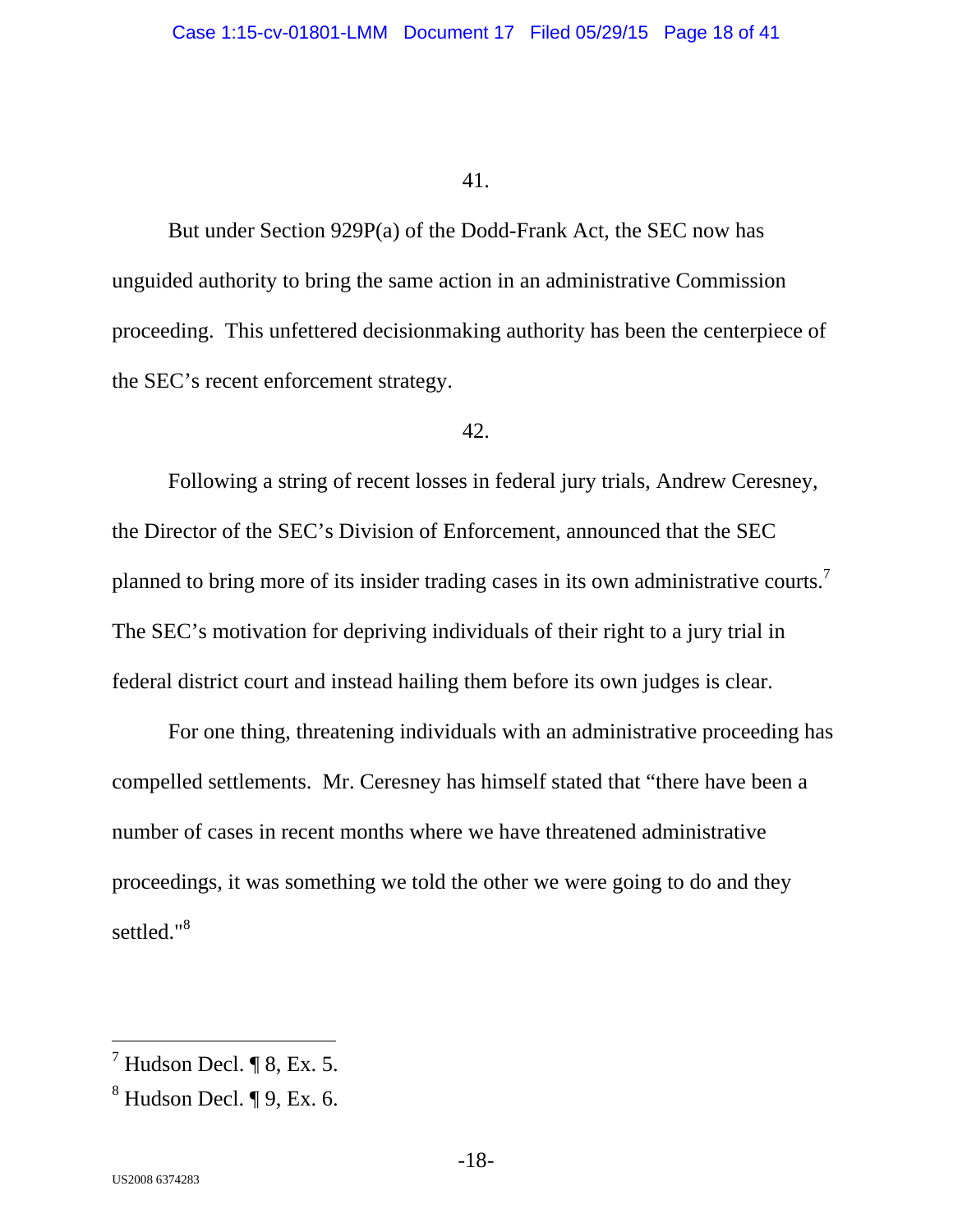But under Section 929P(a) of the Dodd-Frank Act, the SEC now has unguided authority to bring the same action in an administrative Commission proceeding. This unfettered decisionmaking authority has been the centerpiece of the SEC's recent enforcement strategy.

## 42.

Following a string of recent losses in federal jury trials, Andrew Ceresney, the Director of the SEC's Division of Enforcement, announced that the SEC planned to bring more of its insider trading cases in its own administrative courts.<sup>7</sup> The SEC's motivation for depriving individuals of their right to a jury trial in federal district court and instead hailing them before its own judges is clear.

For one thing, threatening individuals with an administrative proceeding has compelled settlements. Mr. Ceresney has himself stated that "there have been a number of cases in recent months where we have threatened administrative proceedings, it was something we told the other we were going to do and they settled."<sup>8</sup>

-

 $^7$  Hudson Decl. ¶ 8, Ex. 5.

 $^8$  Hudson Decl. ¶ 9, Ex. 6.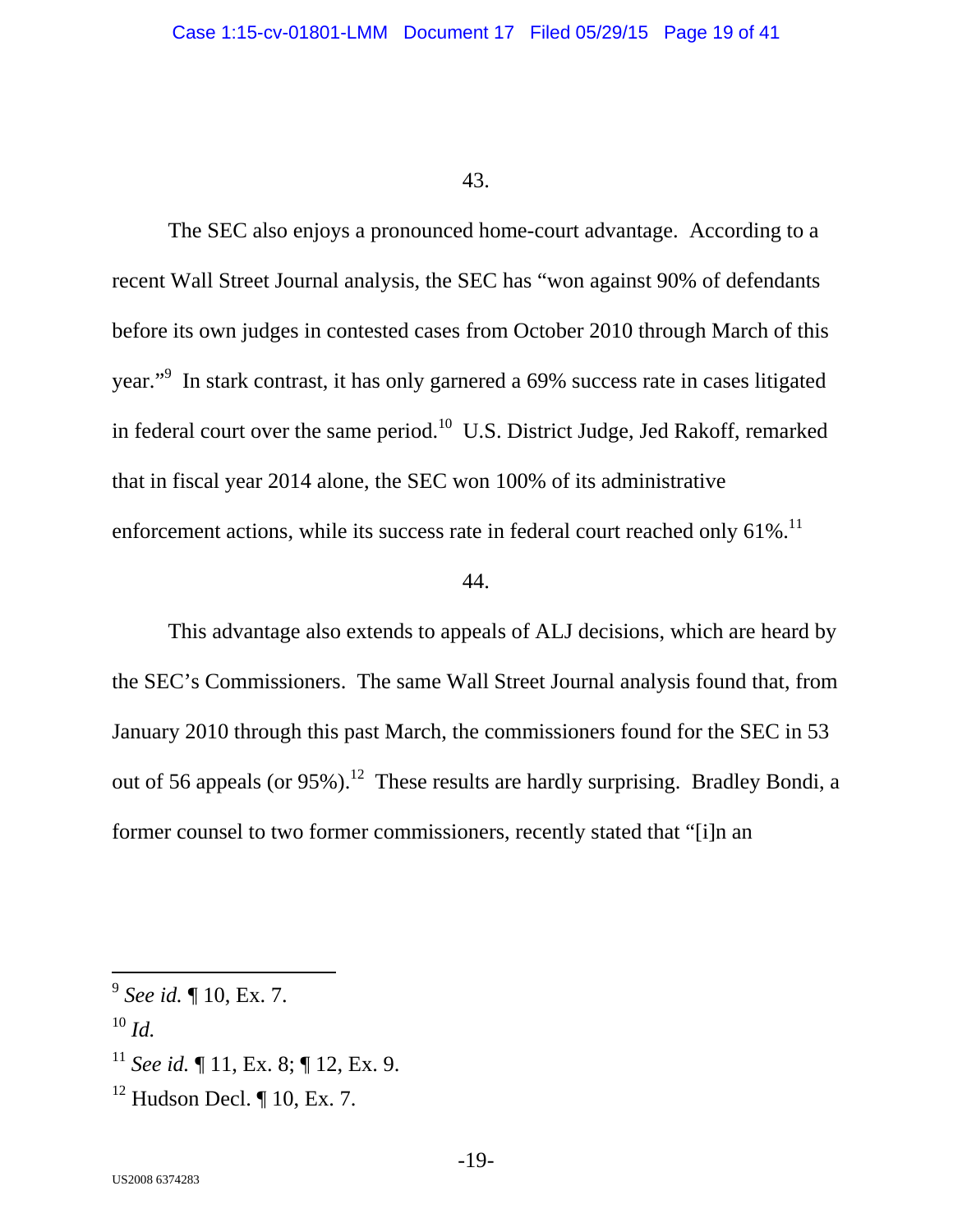The SEC also enjoys a pronounced home-court advantage. According to a recent Wall Street Journal analysis, the SEC has "won against 90% of defendants before its own judges in contested cases from October 2010 through March of this year."<sup>9</sup> In stark contrast, it has only garnered a 69% success rate in cases litigated in federal court over the same period.<sup>10</sup> U.S. District Judge, Jed Rakoff, remarked that in fiscal year 2014 alone, the SEC won 100% of its administrative enforcement actions, while its success rate in federal court reached only  $61\%$ .<sup>11</sup>

#### 44.

This advantage also extends to appeals of ALJ decisions, which are heard by the SEC's Commissioners. The same Wall Street Journal analysis found that, from January 2010 through this past March, the commissioners found for the SEC in 53 out of 56 appeals (or  $95\%$ ).<sup>12</sup> These results are hardly surprising. Bradley Bondi, a former counsel to two former commissioners, recently stated that "[i]n an

<sup>9</sup> *See id.* ¶ 10, Ex. 7.

 $10 \, \text{Id}$ 

<sup>&</sup>lt;sup>11</sup> *See id.*  $\P$  11, Ex. 8;  $\P$  12, Ex. 9.

 $12$  Hudson Decl. ¶ 10, Ex. 7.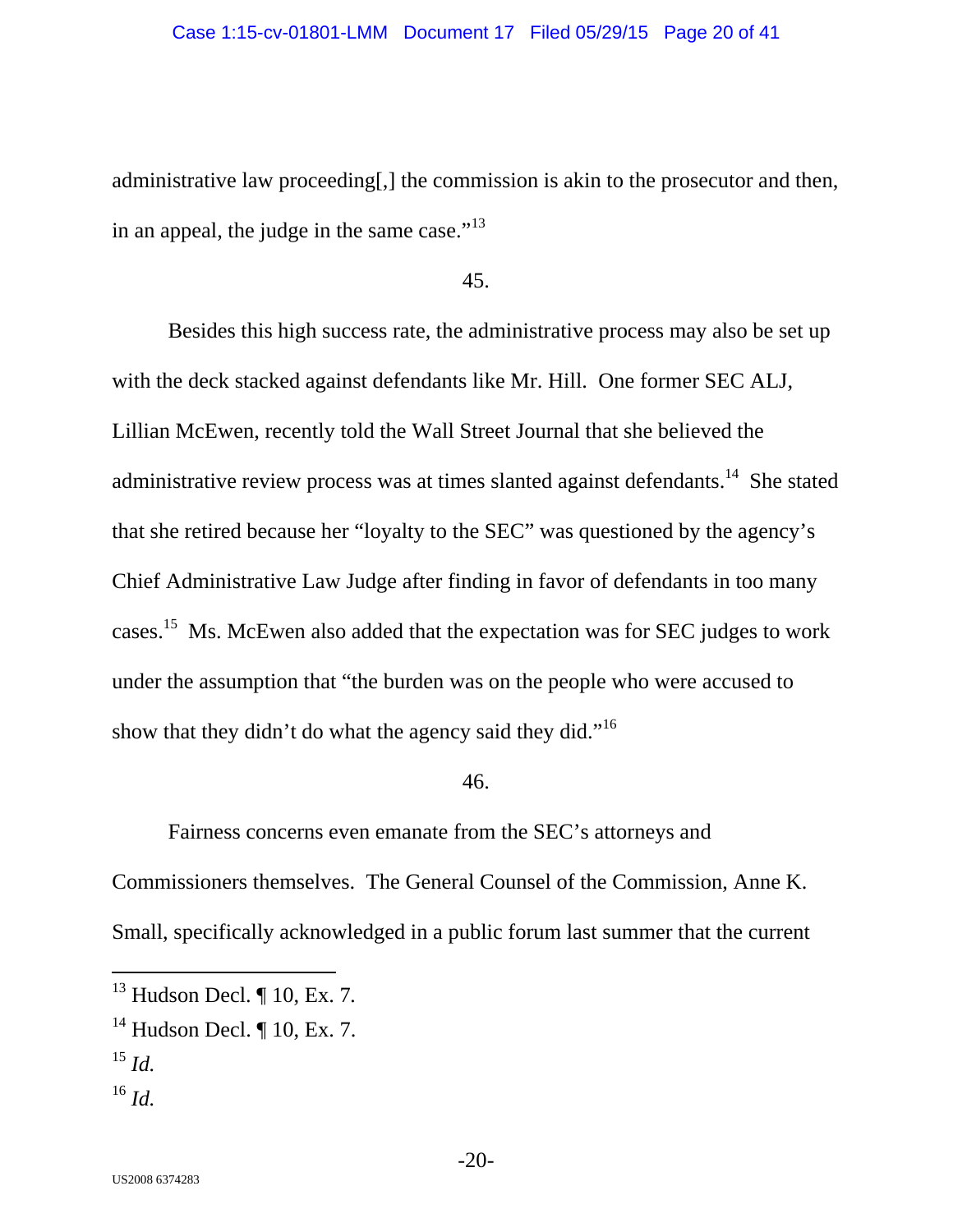administrative law proceeding[,] the commission is akin to the prosecutor and then, in an appeal, the judge in the same case."<sup>13</sup>

45.

Besides this high success rate, the administrative process may also be set up with the deck stacked against defendants like Mr. Hill. One former SEC ALJ, Lillian McEwen, recently told the Wall Street Journal that she believed the administrative review process was at times slanted against defendants.<sup>14</sup> She stated that she retired because her "loyalty to the SEC" was questioned by the agency's Chief Administrative Law Judge after finding in favor of defendants in too many cases.15 Ms. McEwen also added that the expectation was for SEC judges to work under the assumption that "the burden was on the people who were accused to show that they didn't do what the agency said they did."<sup>16</sup>

#### 46.

Fairness concerns even emanate from the SEC's attorneys and Commissioners themselves. The General Counsel of the Commission, Anne K. Small, specifically acknowledged in a public forum last summer that the current

<sup>13</sup> Hudson Decl. ¶ 10, Ex. 7*.* 

 $14$  Hudson Decl. ¶ 10, Ex. 7.

<sup>15</sup> *Id.*

 $^{16}\,$   $ld.$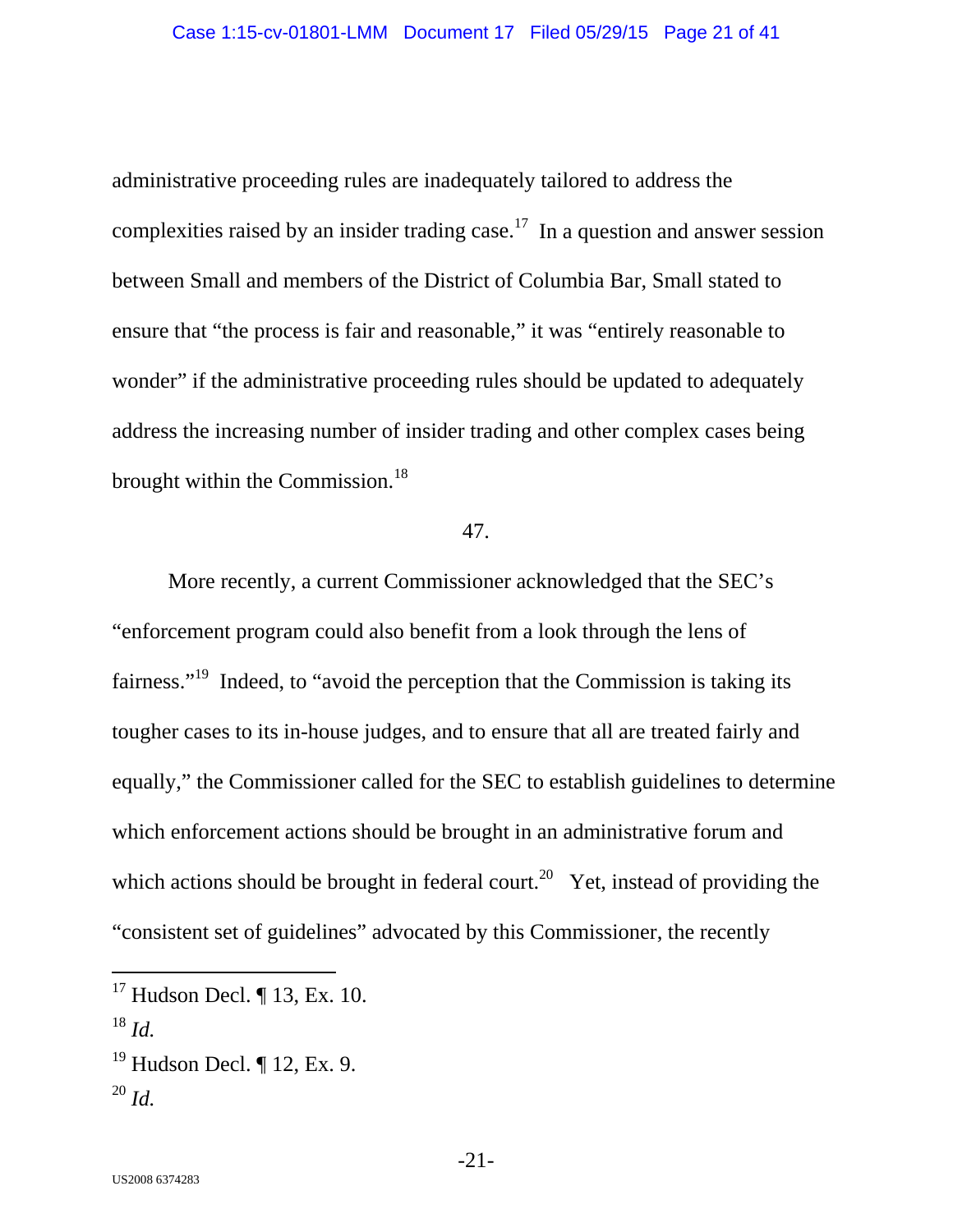administrative proceeding rules are inadequately tailored to address the complexities raised by an insider trading case.<sup>17</sup> In a question and answer session between Small and members of the District of Columbia Bar, Small stated to ensure that "the process is fair and reasonable," it was "entirely reasonable to wonder" if the administrative proceeding rules should be updated to adequately address the increasing number of insider trading and other complex cases being brought within the Commission.<sup>18</sup>

#### 47.

More recently, a current Commissioner acknowledged that the SEC's "enforcement program could also benefit from a look through the lens of fairness."19 Indeed, to "avoid the perception that the Commission is taking its tougher cases to its in-house judges, and to ensure that all are treated fairly and equally," the Commissioner called for the SEC to establish guidelines to determine which enforcement actions should be brought in an administrative forum and which actions should be brought in federal court.<sup>20</sup> Yet, instead of providing the "consistent set of guidelines" advocated by this Commissioner, the recently

-

-21-

 $17$  Hudson Decl. ¶ 13, Ex. 10.

 $^{18}$  *Id.* 

 $19$  Hudson Decl. ¶ 12, Ex. 9.  $^{20}$  *Id.*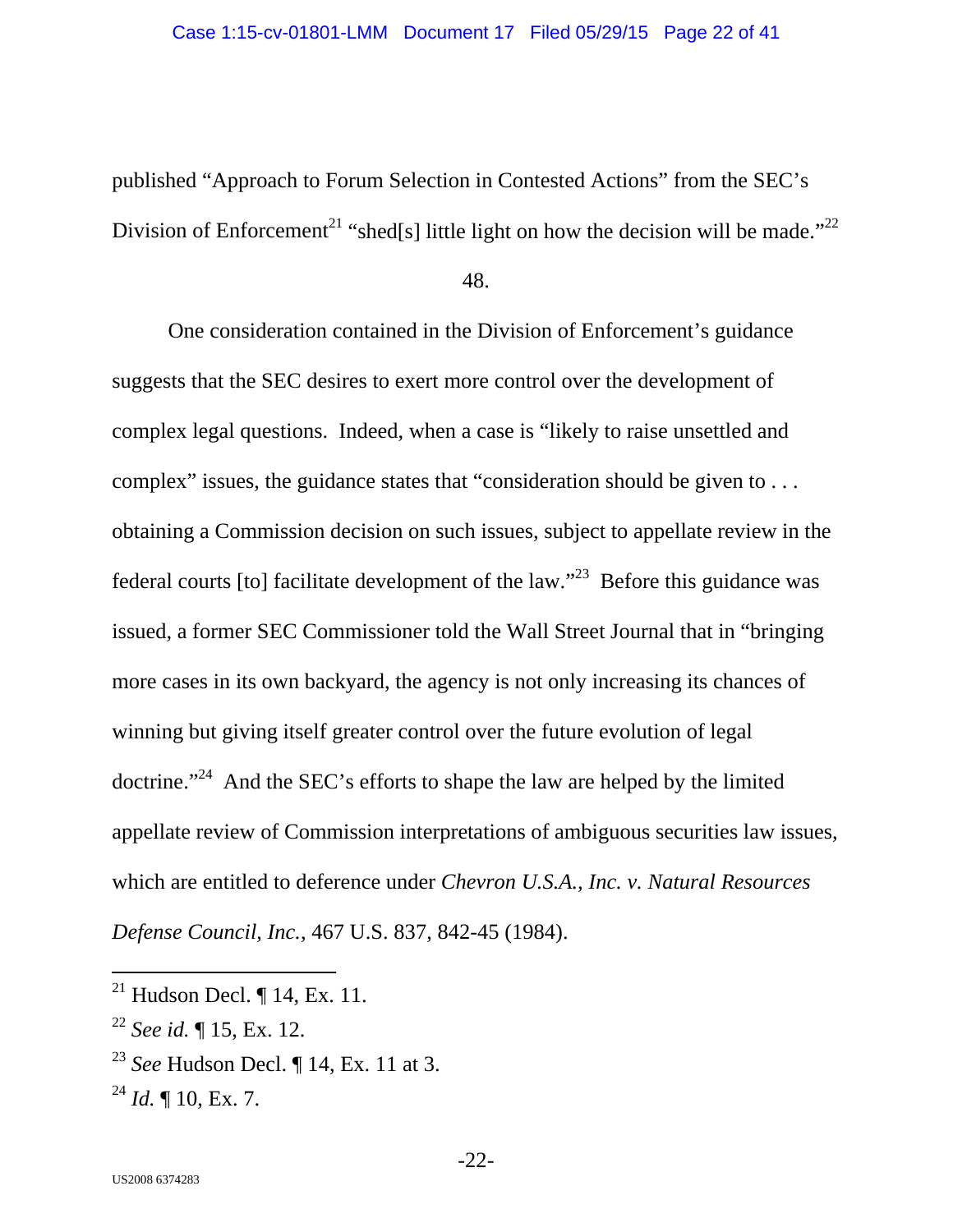published "Approach to Forum Selection in Contested Actions" from the SEC's Division of Enforcement<sup>21</sup> "shed[s] little light on how the decision will be made."<sup>22</sup>

48.

One consideration contained in the Division of Enforcement's guidance suggests that the SEC desires to exert more control over the development of complex legal questions. Indeed, when a case is "likely to raise unsettled and complex" issues, the guidance states that "consideration should be given to . . . obtaining a Commission decision on such issues, subject to appellate review in the federal courts  $[$ to $]$  facilitate development of the law."<sup>23</sup> Before this guidance was issued, a former SEC Commissioner told the Wall Street Journal that in "bringing more cases in its own backyard, the agency is not only increasing its chances of winning but giving itself greater control over the future evolution of legal doctrine."24 And the SEC's efforts to shape the law are helped by the limited appellate review of Commission interpretations of ambiguous securities law issues, which are entitled to deference under *Chevron U.S.A., Inc. v. Natural Resources Defense Council*, *Inc.*, 467 U.S. 837, 842-45 (1984).

<sup>&</sup>lt;sup>21</sup> Hudson Decl.  $\P$  14, Ex. 11.

<sup>22</sup> *See id.* ¶ 15, Ex. 12.

<sup>23</sup> *See* Hudson Decl. ¶ 14, Ex. 11 at 3.

<sup>24</sup> *Id.* ¶ 10, Ex. 7.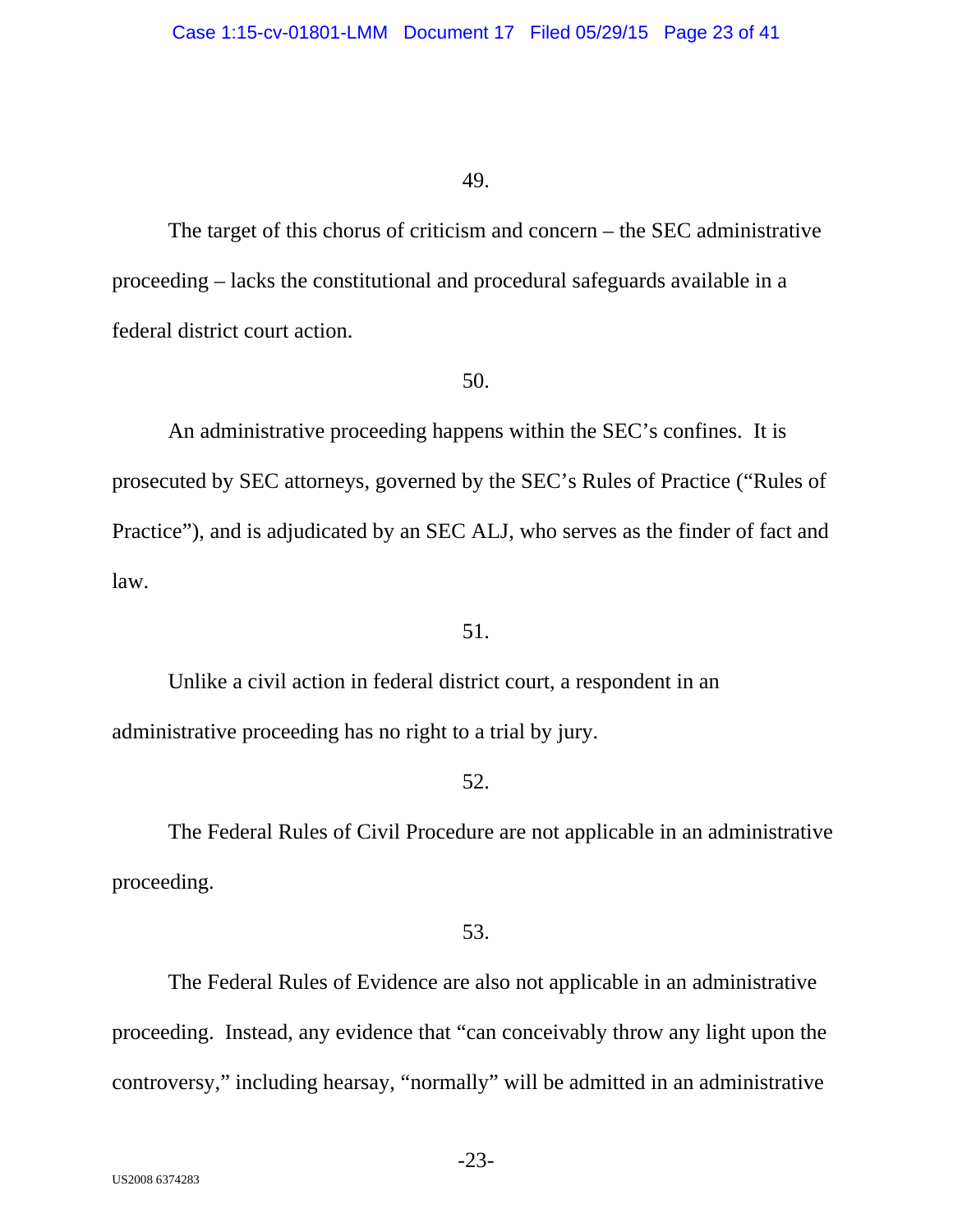The target of this chorus of criticism and concern – the SEC administrative proceeding – lacks the constitutional and procedural safeguards available in a federal district court action.

## 50.

An administrative proceeding happens within the SEC's confines. It is prosecuted by SEC attorneys, governed by the SEC's Rules of Practice ("Rules of Practice"), and is adjudicated by an SEC ALJ, who serves as the finder of fact and law.

## 51.

Unlike a civil action in federal district court, a respondent in an administrative proceeding has no right to a trial by jury.

# 52.

The Federal Rules of Civil Procedure are not applicable in an administrative proceeding.

# 53.

The Federal Rules of Evidence are also not applicable in an administrative proceeding. Instead, any evidence that "can conceivably throw any light upon the controversy," including hearsay, "normally" will be admitted in an administrative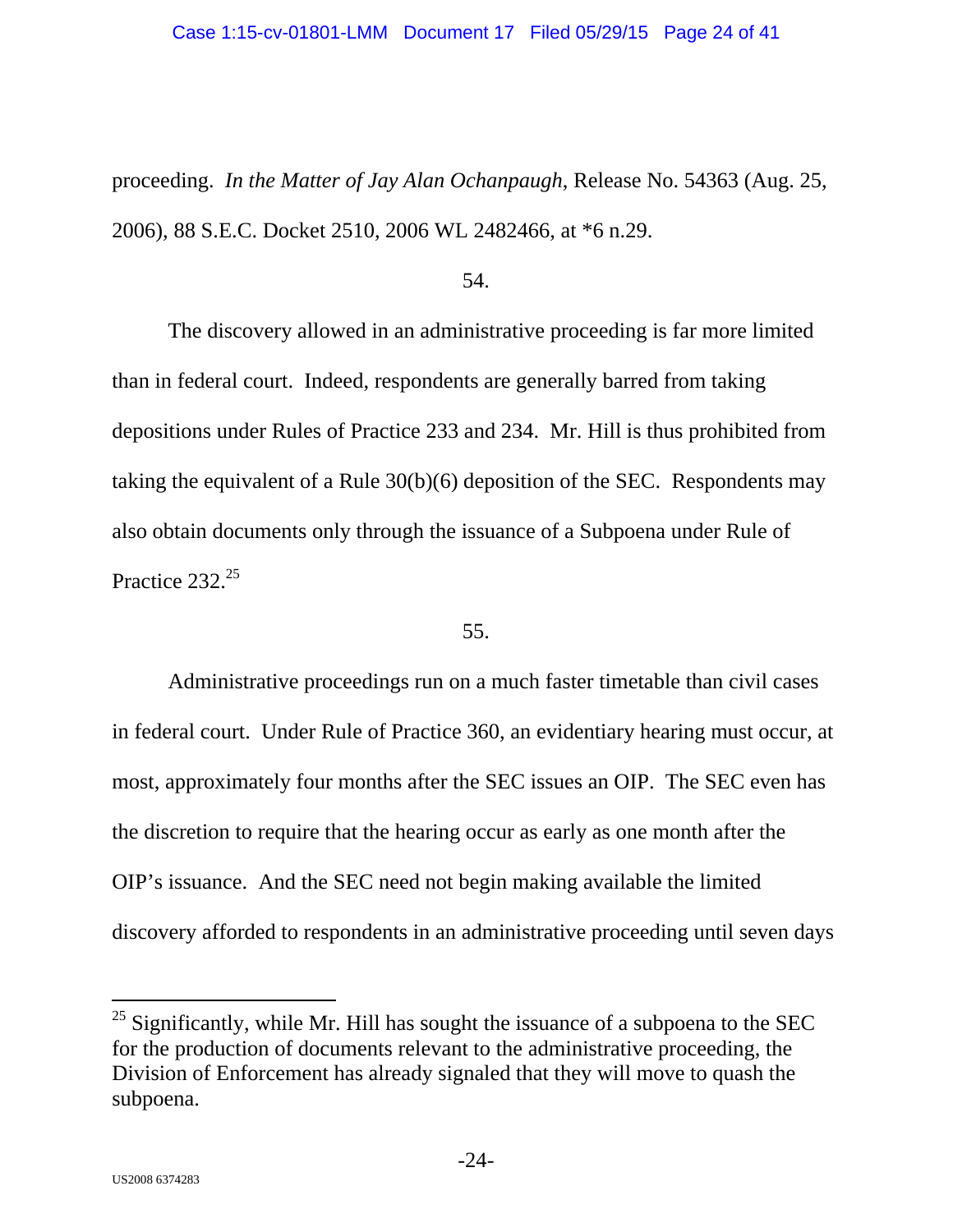proceeding. *In the Matter of Jay Alan Ochanpaugh*, Release No. 54363 (Aug. 25, 2006), 88 S.E.C. Docket 2510, 2006 WL 2482466, at \*6 n.29.

#### 54.

The discovery allowed in an administrative proceeding is far more limited than in federal court. Indeed, respondents are generally barred from taking depositions under Rules of Practice 233 and 234. Mr. Hill is thus prohibited from taking the equivalent of a Rule 30(b)(6) deposition of the SEC. Respondents may also obtain documents only through the issuance of a Subpoena under Rule of Practice 232.<sup>25</sup>

### 55.

Administrative proceedings run on a much faster timetable than civil cases in federal court. Under Rule of Practice 360, an evidentiary hearing must occur, at most, approximately four months after the SEC issues an OIP. The SEC even has the discretion to require that the hearing occur as early as one month after the OIP's issuance. And the SEC need not begin making available the limited discovery afforded to respondents in an administrative proceeding until seven days

-

 $25$  Significantly, while Mr. Hill has sought the issuance of a subpoena to the SEC for the production of documents relevant to the administrative proceeding, the Division of Enforcement has already signaled that they will move to quash the subpoena.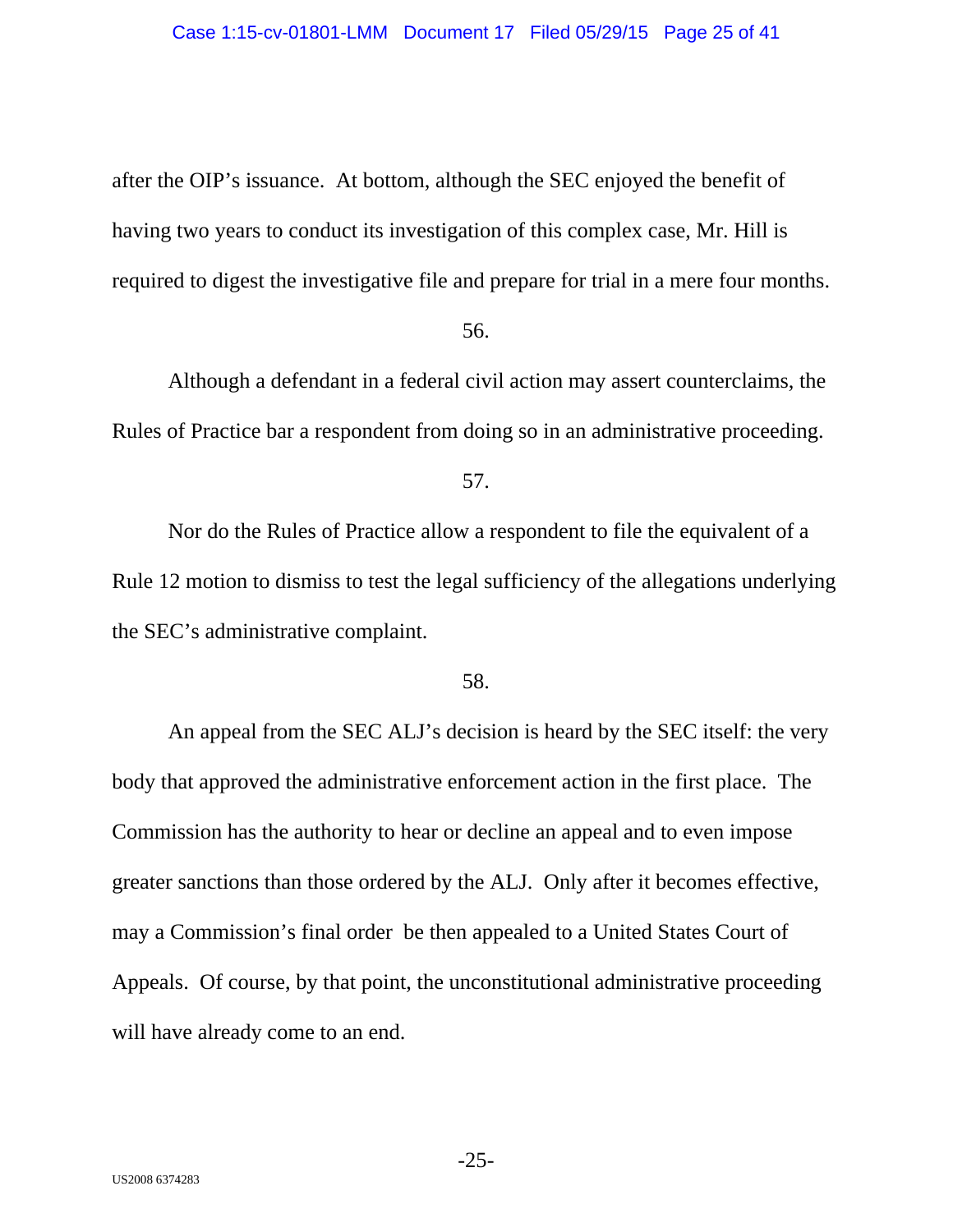after the OIP's issuance. At bottom, although the SEC enjoyed the benefit of having two years to conduct its investigation of this complex case, Mr. Hill is required to digest the investigative file and prepare for trial in a mere four months.

#### 56.

Although a defendant in a federal civil action may assert counterclaims, the Rules of Practice bar a respondent from doing so in an administrative proceeding.

57.

Nor do the Rules of Practice allow a respondent to file the equivalent of a Rule 12 motion to dismiss to test the legal sufficiency of the allegations underlying the SEC's administrative complaint.

### 58.

An appeal from the SEC ALJ's decision is heard by the SEC itself: the very body that approved the administrative enforcement action in the first place. The Commission has the authority to hear or decline an appeal and to even impose greater sanctions than those ordered by the ALJ. Only after it becomes effective, may a Commission's final order be then appealed to a United States Court of Appeals. Of course, by that point, the unconstitutional administrative proceeding will have already come to an end.

-25-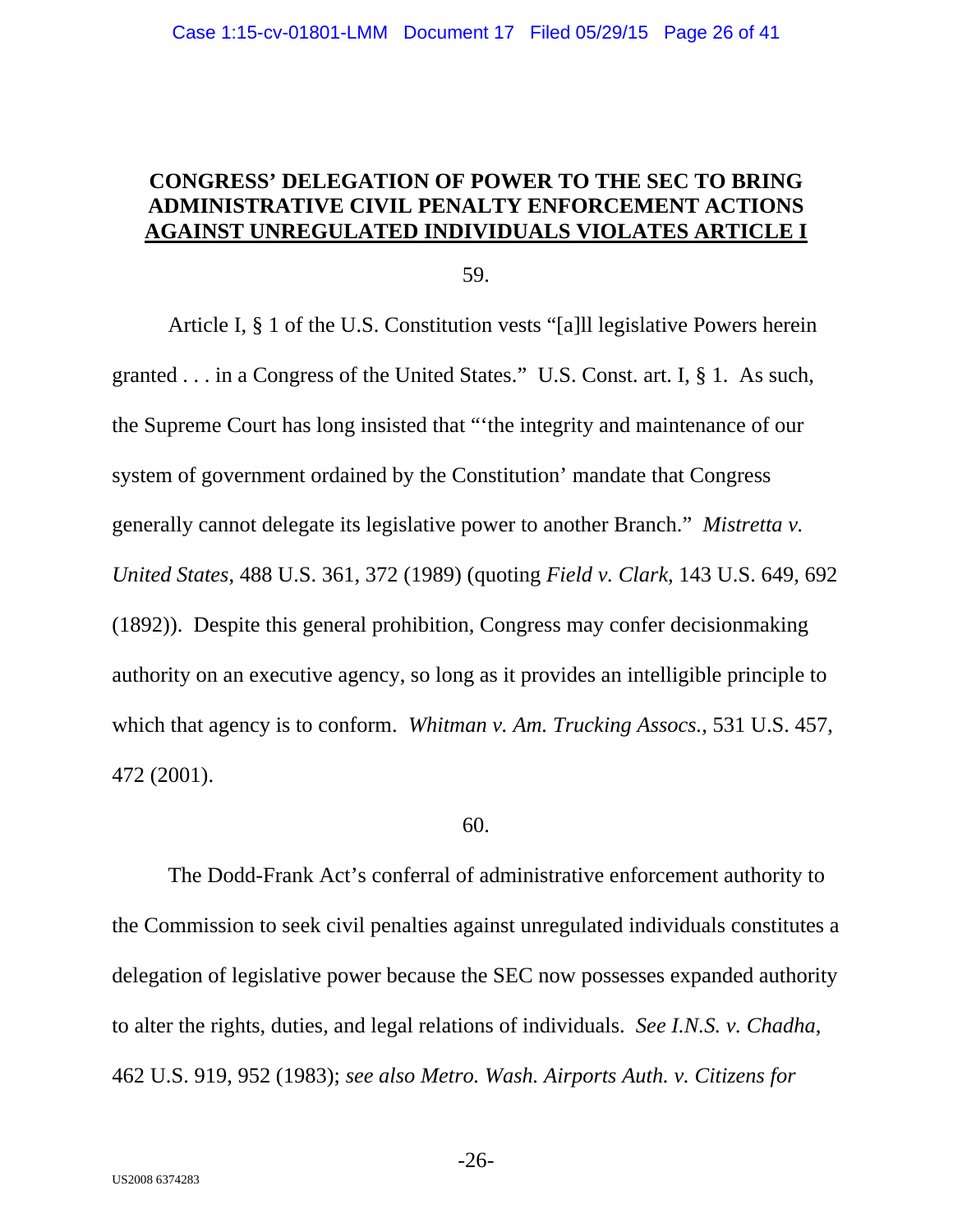# **CONGRESS' DELEGATION OF POWER TO THE SEC TO BRING ADMINISTRATIVE CIVIL PENALTY ENFORCEMENT ACTIONS AGAINST UNREGULATED INDIVIDUALS VIOLATES ARTICLE I**

59.

Article I, § 1 of the U.S. Constitution vests "[a]ll legislative Powers herein granted . . . in a Congress of the United States." U.S. Const. art. I, § 1. As such, the Supreme Court has long insisted that "'the integrity and maintenance of our system of government ordained by the Constitution' mandate that Congress generally cannot delegate its legislative power to another Branch." *Mistretta v. United States*, 488 U.S. 361, 372 (1989) (quoting *Field v. Clark*, 143 U.S. 649, 692 (1892)). Despite this general prohibition, Congress may confer decisionmaking authority on an executive agency, so long as it provides an intelligible principle to which that agency is to conform. *Whitman v. Am. Trucking Assocs.*, 531 U.S. 457, 472 (2001).

#### 60.

The Dodd-Frank Act's conferral of administrative enforcement authority to the Commission to seek civil penalties against unregulated individuals constitutes a delegation of legislative power because the SEC now possesses expanded authority to alter the rights, duties, and legal relations of individuals. *See I.N.S. v. Chadha*, 462 U.S. 919, 952 (1983); *see also Metro. Wash. Airports Auth. v. Citizens for* 

-26-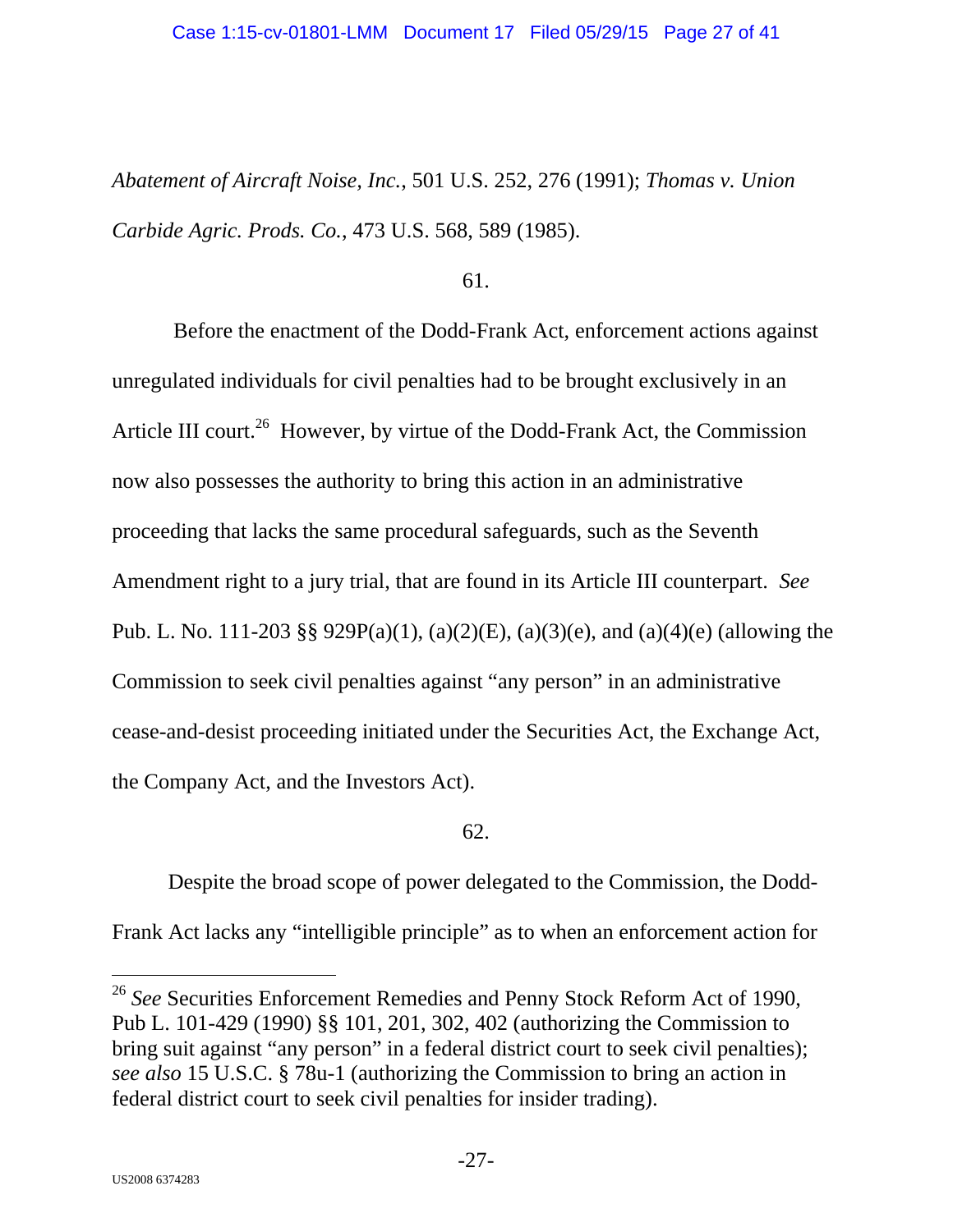#### Case 1:15-cv-01801-LMM Document 17 Filed 05/29/15 Page 27 of 41

*Abatement of Aircraft Noise, Inc.*, 501 U.S. 252, 276 (1991); *Thomas v. Union Carbide Agric. Prods. Co.*, 473 U.S. 568, 589 (1985).

61.

 Before the enactment of the Dodd-Frank Act, enforcement actions against unregulated individuals for civil penalties had to be brought exclusively in an Article III court.<sup>26</sup> However, by virtue of the Dodd-Frank Act, the Commission now also possesses the authority to bring this action in an administrative proceeding that lacks the same procedural safeguards, such as the Seventh Amendment right to a jury trial, that are found in its Article III counterpart. *See*  Pub. L. No. 111-203 §§ 929P(a)(1), (a)(2)(E), (a)(3)(e), and (a)(4)(e) (allowing the Commission to seek civil penalties against "any person" in an administrative cease-and-desist proceeding initiated under the Securities Act, the Exchange Act, the Company Act, and the Investors Act).

62.

Despite the broad scope of power delegated to the Commission, the Dodd-Frank Act lacks any "intelligible principle" as to when an enforcement action for

<sup>26</sup> See Securities Enforcement Remedies and Penny Stock Reform Act of 1990, Pub L. 101-429 (1990) §§ 101, 201, 302, 402 (authorizing the Commission to bring suit against "any person" in a federal district court to seek civil penalties); *see also* 15 U.S.C. § 78u-1 (authorizing the Commission to bring an action in federal district court to seek civil penalties for insider trading).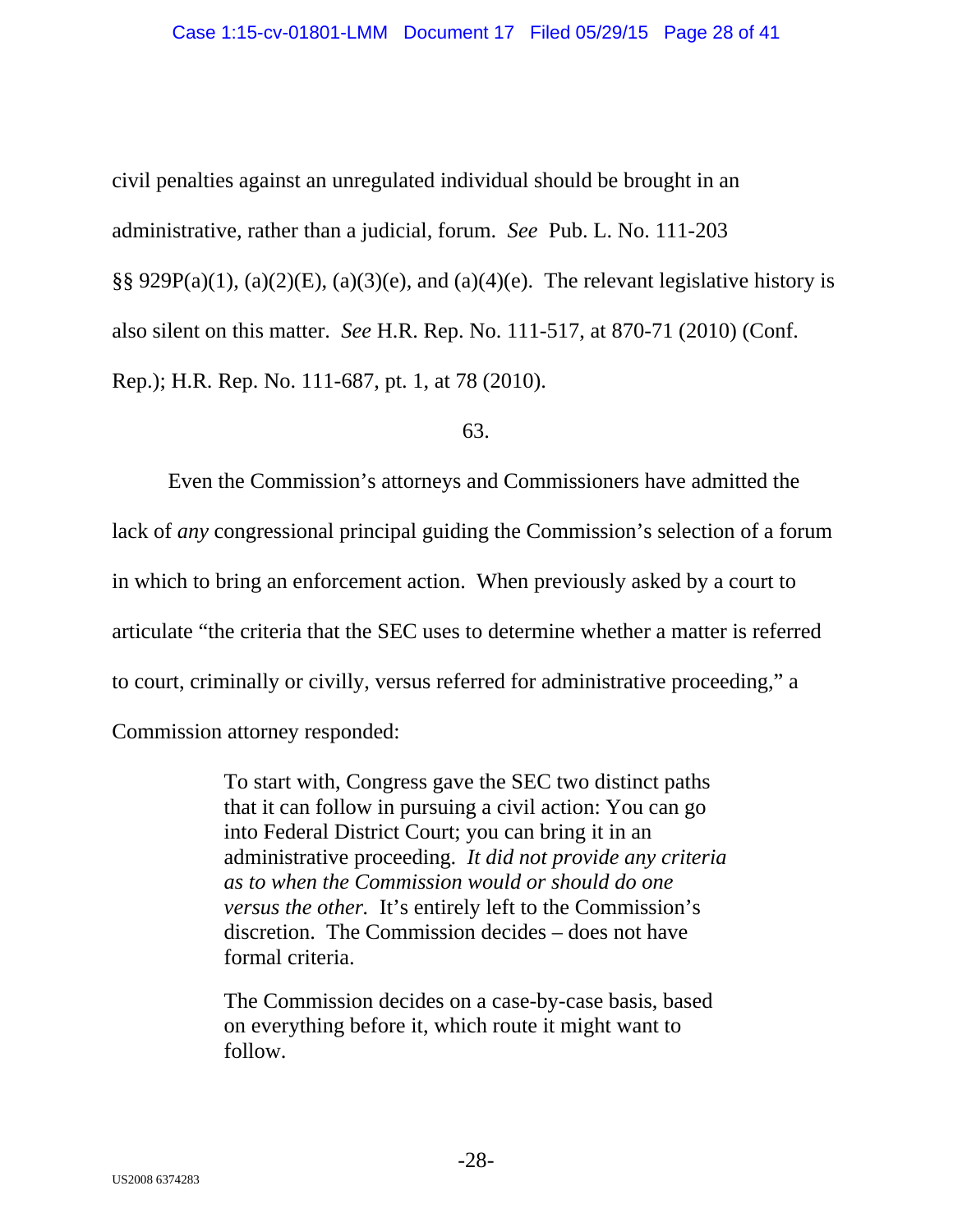civil penalties against an unregulated individual should be brought in an administrative, rather than a judicial, forum. *See* Pub. L. No. 111-203 §§ 929 $P(a)(1)$ , (a)(2)(E), (a)(3)(e), and (a)(4)(e). The relevant legislative history is also silent on this matter. *See* H.R. Rep. No. 111-517, at 870-71 (2010) (Conf. Rep.); H.R. Rep. No. 111-687, pt. 1, at 78 (2010).

63.

Even the Commission's attorneys and Commissioners have admitted the lack of *any* congressional principal guiding the Commission's selection of a forum in which to bring an enforcement action. When previously asked by a court to articulate "the criteria that the SEC uses to determine whether a matter is referred to court, criminally or civilly, versus referred for administrative proceeding," a Commission attorney responded:

> To start with, Congress gave the SEC two distinct paths that it can follow in pursuing a civil action: You can go into Federal District Court; you can bring it in an administrative proceeding. *It did not provide any criteria as to when the Commission would or should do one versus the other.* It's entirely left to the Commission's discretion. The Commission decides – does not have formal criteria.

The Commission decides on a case-by-case basis, based on everything before it, which route it might want to follow.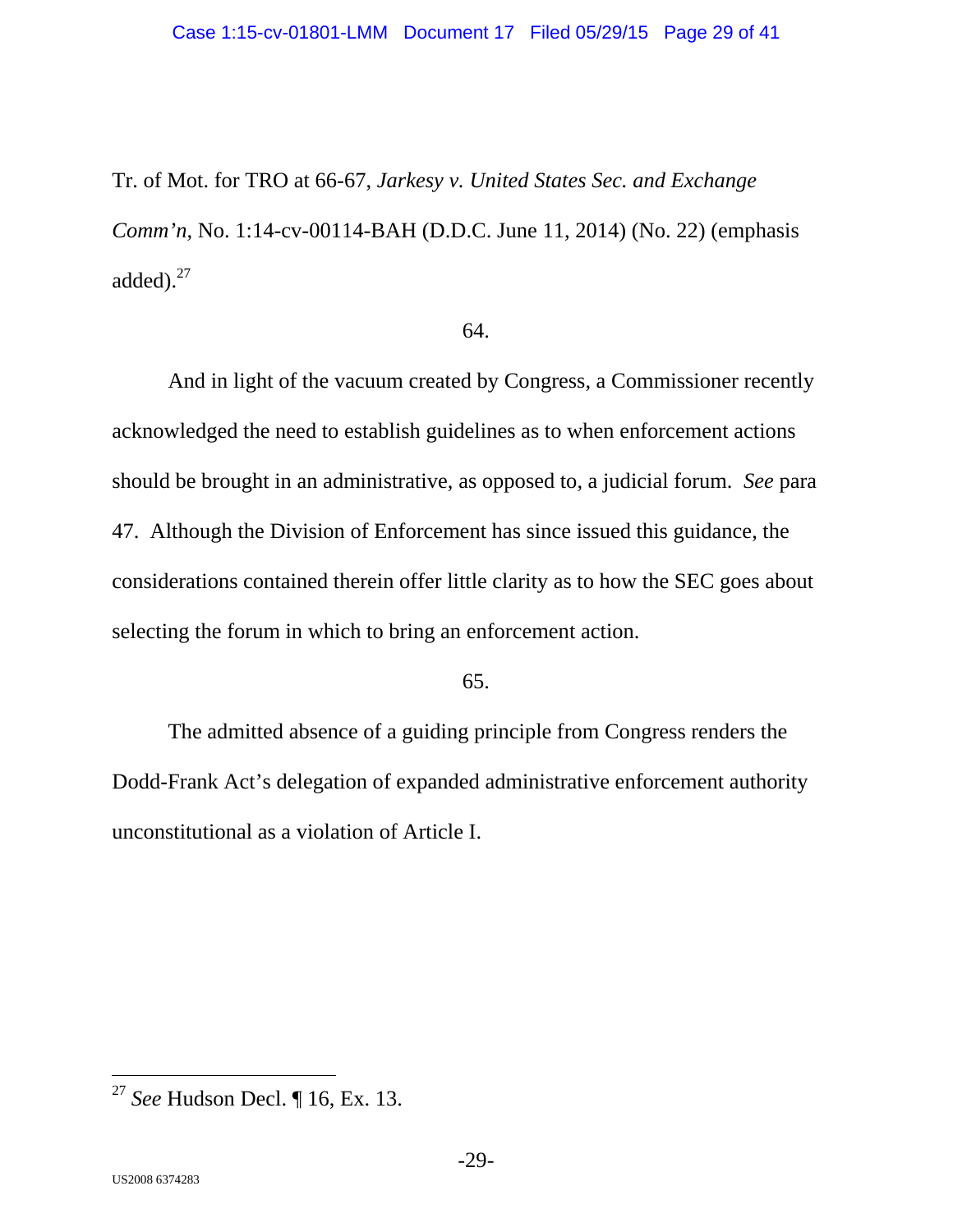#### Case 1:15-cv-01801-LMM Document 17 Filed 05/29/15 Page 29 of 41

Tr. of Mot. for TRO at 66-67, *Jarkesy v. United States Sec. and Exchange Comm'n*, No. 1:14-cv-00114-BAH (D.D.C. June 11, 2014) (No. 22) (emphasis added).<sup>27</sup>

## 64.

And in light of the vacuum created by Congress, a Commissioner recently acknowledged the need to establish guidelines as to when enforcement actions should be brought in an administrative, as opposed to, a judicial forum. *See* para 47. Although the Division of Enforcement has since issued this guidance, the considerations contained therein offer little clarity as to how the SEC goes about selecting the forum in which to bring an enforcement action.

### 65.

The admitted absence of a guiding principle from Congress renders the Dodd-Frank Act's delegation of expanded administrative enforcement authority unconstitutional as a violation of Article I.

<sup>27</sup> *See* Hudson Decl. ¶ 16, Ex. 13.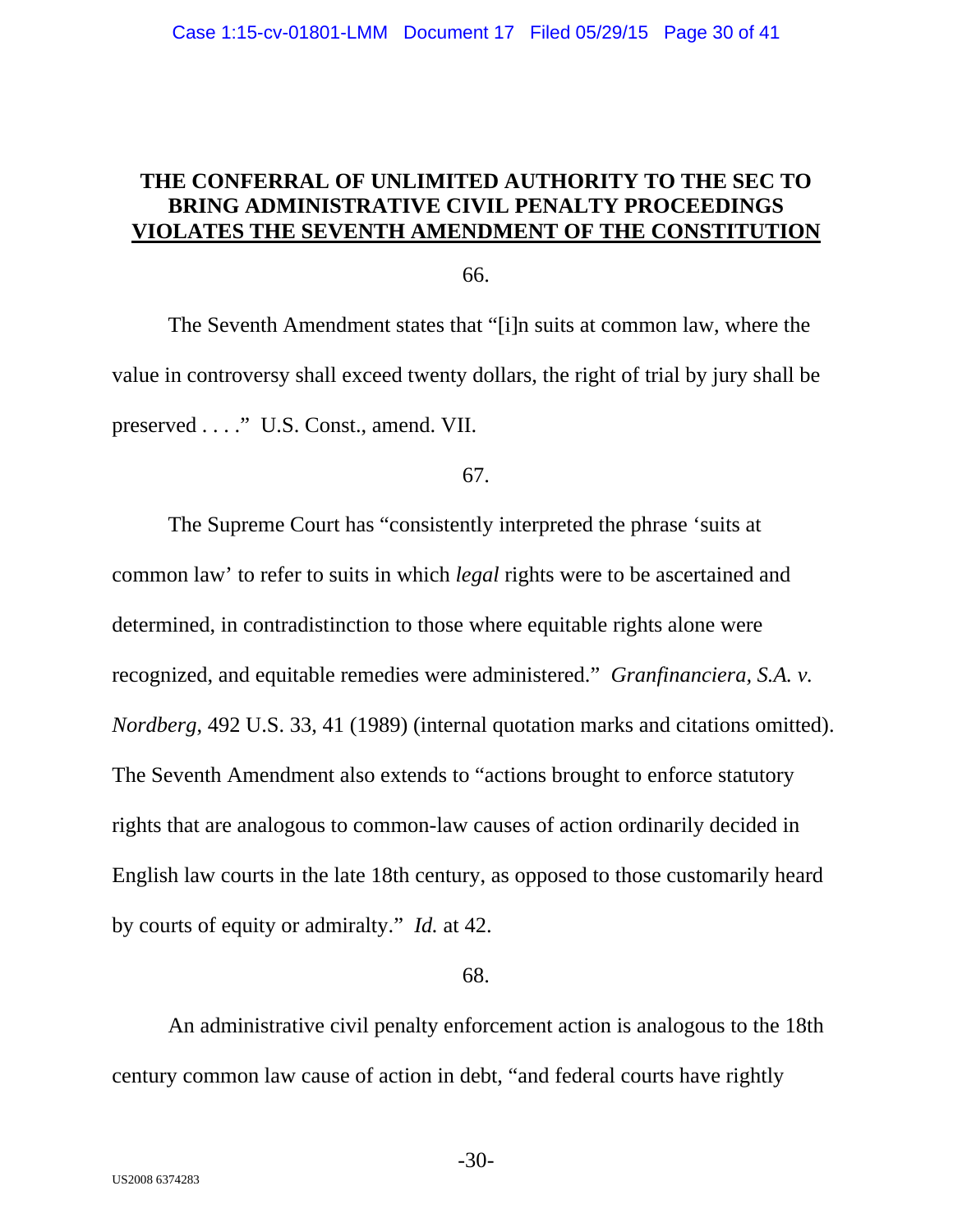# **THE CONFERRAL OF UNLIMITED AUTHORITY TO THE SEC TO BRING ADMINISTRATIVE CIVIL PENALTY PROCEEDINGS VIOLATES THE SEVENTH AMENDMENT OF THE CONSTITUTION**

66.

The Seventh Amendment states that "[i]n suits at common law, where the value in controversy shall exceed twenty dollars, the right of trial by jury shall be preserved . . . ." U.S. Const., amend. VII.

67.

The Supreme Court has "consistently interpreted the phrase 'suits at common law' to refer to suits in which *legal* rights were to be ascertained and determined, in contradistinction to those where equitable rights alone were recognized, and equitable remedies were administered." *Granfinanciera, S.A. v. Nordberg*, 492 U.S. 33, 41 (1989) (internal quotation marks and citations omitted). The Seventh Amendment also extends to "actions brought to enforce statutory rights that are analogous to common-law causes of action ordinarily decided in English law courts in the late 18th century, as opposed to those customarily heard by courts of equity or admiralty." *Id.* at 42.

68.

An administrative civil penalty enforcement action is analogous to the 18th century common law cause of action in debt, "and federal courts have rightly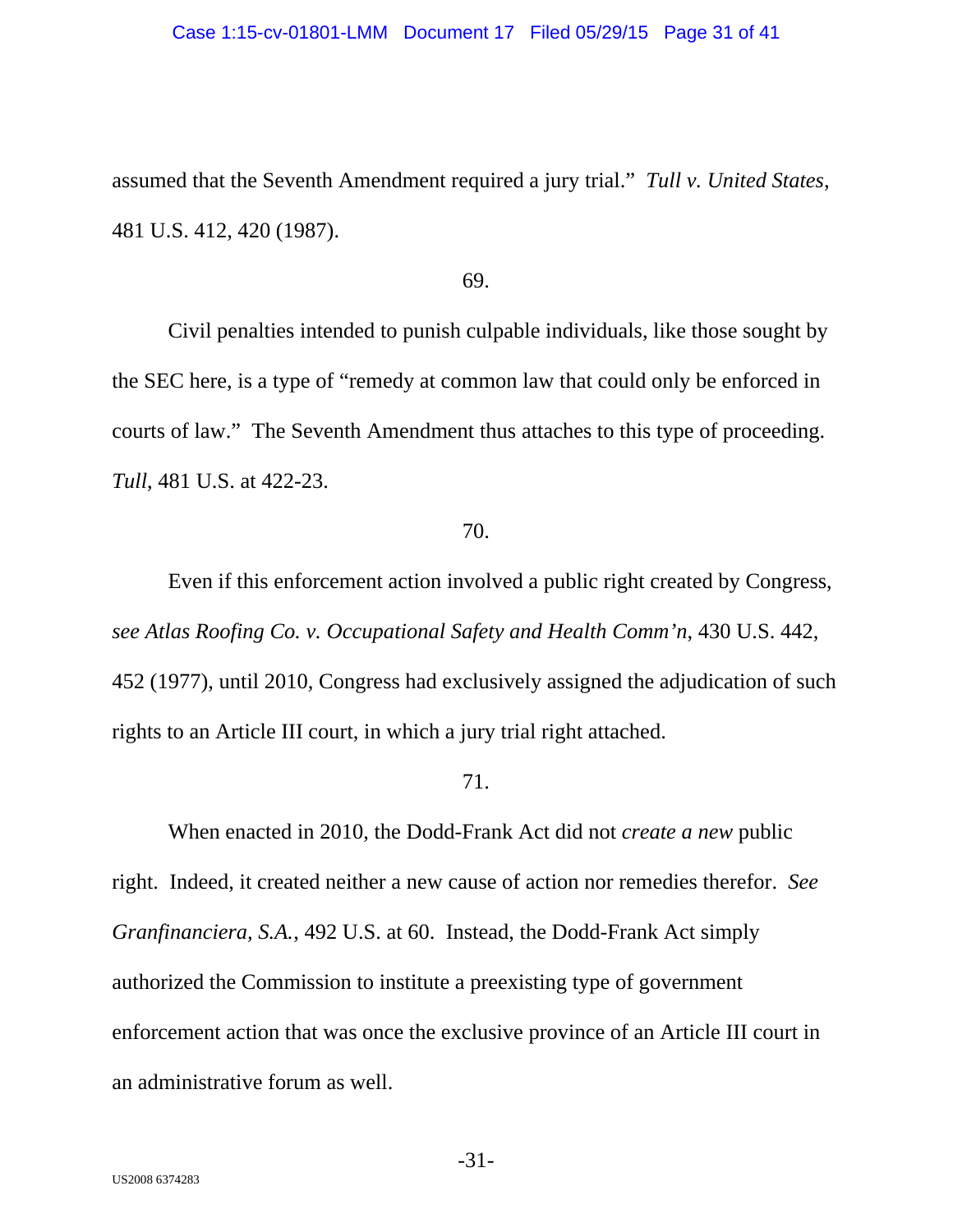#### Case 1:15-cv-01801-LMM Document 17 Filed 05/29/15 Page 31 of 41

assumed that the Seventh Amendment required a jury trial." *Tull v. United States*, 481 U.S. 412, 420 (1987).

#### 69.

Civil penalties intended to punish culpable individuals, like those sought by the SEC here, is a type of "remedy at common law that could only be enforced in courts of law." The Seventh Amendment thus attaches to this type of proceeding. *Tull*, 481 U.S. at 422-23.

## 70.

Even if this enforcement action involved a public right created by Congress, *see Atlas Roofing Co. v. Occupational Safety and Health Comm'n*, 430 U.S. 442, 452 (1977), until 2010, Congress had exclusively assigned the adjudication of such rights to an Article III court, in which a jury trial right attached.

## 71.

When enacted in 2010, the Dodd-Frank Act did not *create a new* public right. Indeed, it created neither a new cause of action nor remedies therefor. *See Granfinanciera, S.A.*, 492 U.S. at 60. Instead, the Dodd-Frank Act simply authorized the Commission to institute a preexisting type of government enforcement action that was once the exclusive province of an Article III court in an administrative forum as well.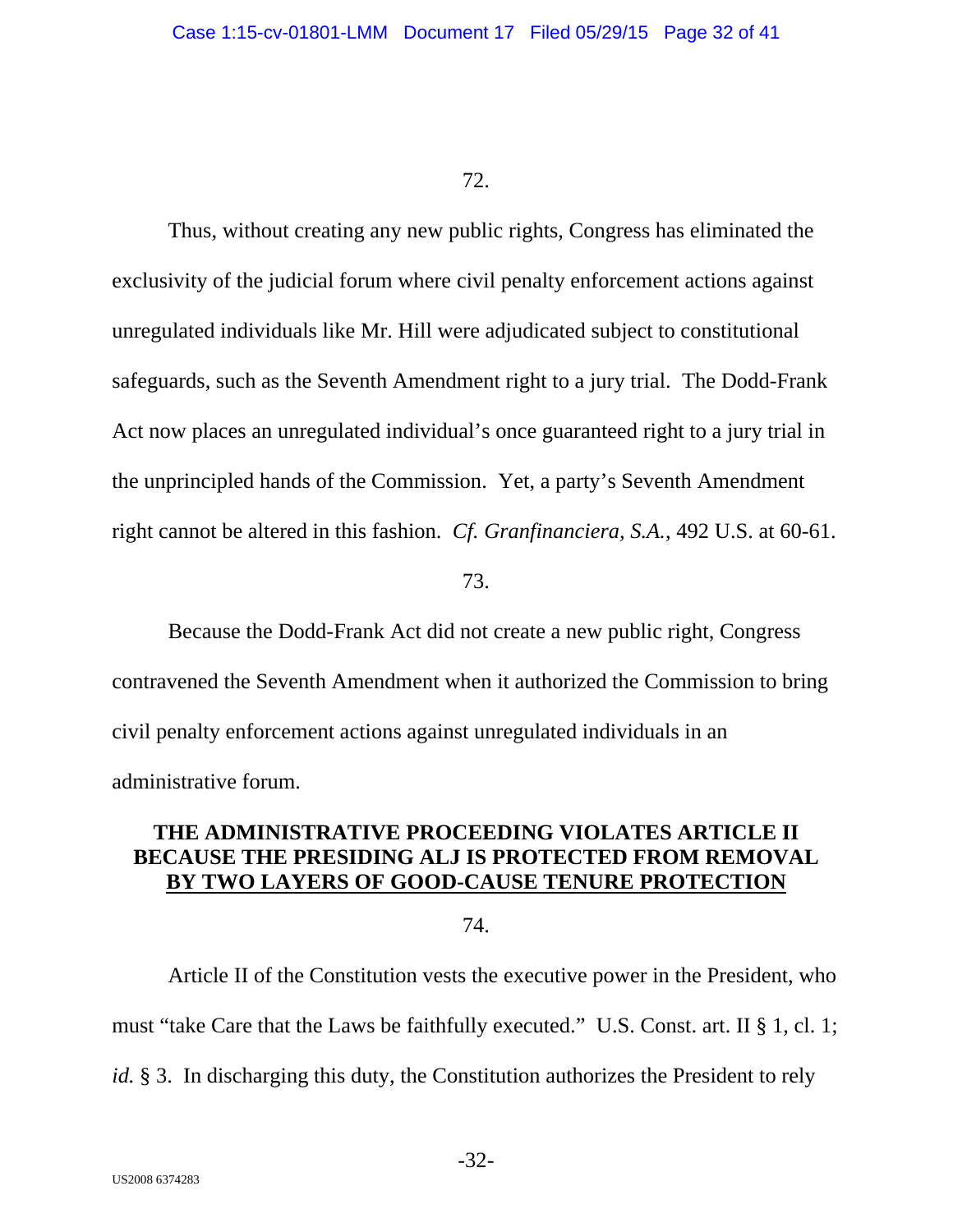Thus, without creating any new public rights, Congress has eliminated the exclusivity of the judicial forum where civil penalty enforcement actions against unregulated individuals like Mr. Hill were adjudicated subject to constitutional safeguards, such as the Seventh Amendment right to a jury trial. The Dodd-Frank Act now places an unregulated individual's once guaranteed right to a jury trial in the unprincipled hands of the Commission. Yet, a party's Seventh Amendment right cannot be altered in this fashion. *Cf. Granfinanciera, S.A.*, 492 U.S. at 60-61.

73.

Because the Dodd-Frank Act did not create a new public right, Congress contravened the Seventh Amendment when it authorized the Commission to bring civil penalty enforcement actions against unregulated individuals in an administrative forum.

# **THE ADMINISTRATIVE PROCEEDING VIOLATES ARTICLE II BECAUSE THE PRESIDING ALJ IS PROTECTED FROM REMOVAL BY TWO LAYERS OF GOOD-CAUSE TENURE PROTECTION**

74.

Article II of the Constitution vests the executive power in the President, who must "take Care that the Laws be faithfully executed." U.S. Const. art. II § 1, cl. 1; *id.* § 3. In discharging this duty, the Constitution authorizes the President to rely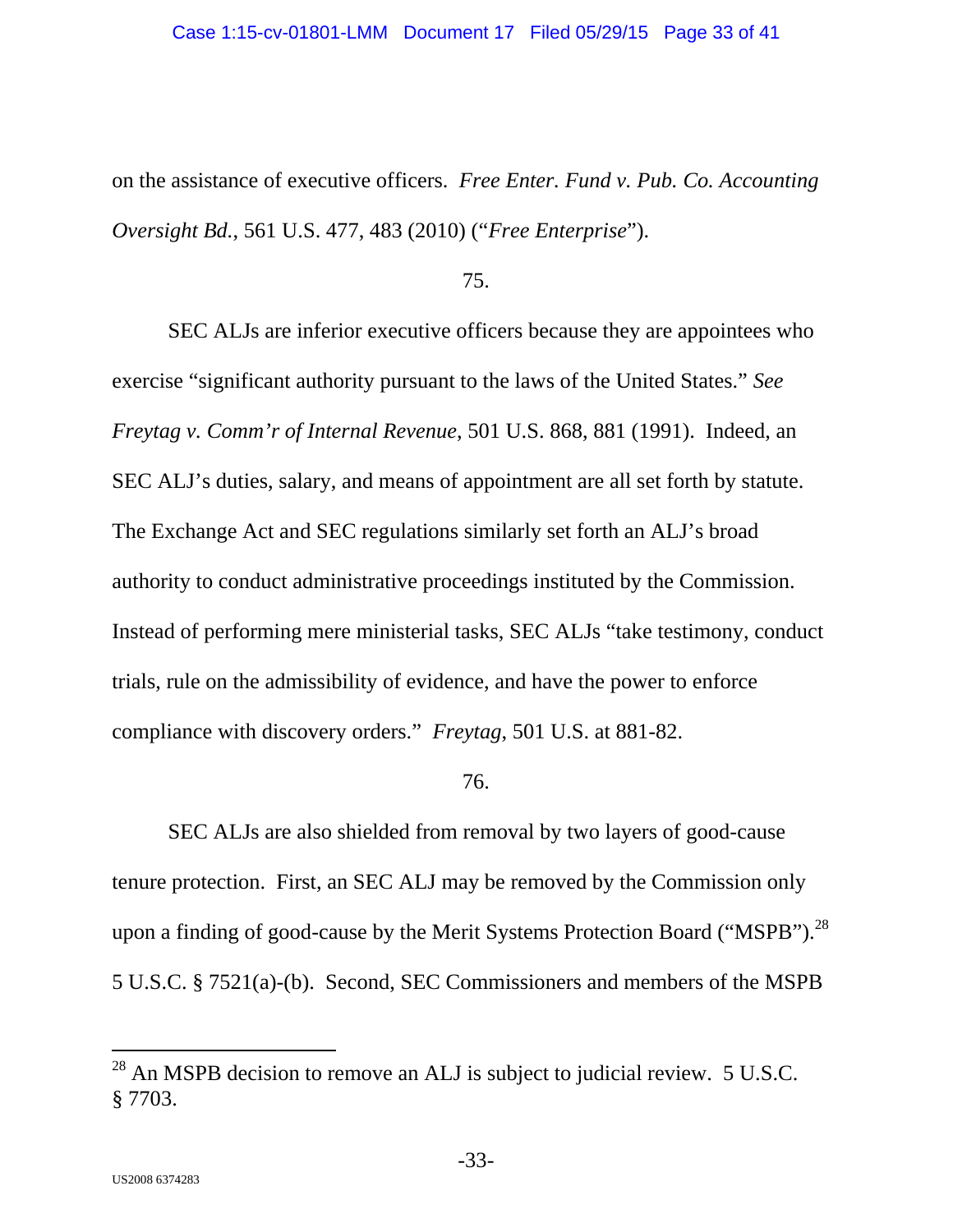on the assistance of executive officers. *Free Enter. Fund v. Pub. Co. Accounting Oversight Bd.*, 561 U.S. 477, 483 (2010) ("*Free Enterprise*").

75.

SEC ALJs are inferior executive officers because they are appointees who exercise "significant authority pursuant to the laws of the United States." *See Freytag v. Comm'r of Internal Revenue*, 501 U.S. 868, 881 (1991). Indeed, an SEC ALJ's duties, salary, and means of appointment are all set forth by statute. The Exchange Act and SEC regulations similarly set forth an ALJ's broad authority to conduct administrative proceedings instituted by the Commission. Instead of performing mere ministerial tasks, SEC ALJs "take testimony, conduct trials, rule on the admissibility of evidence, and have the power to enforce compliance with discovery orders." *Freytag*, 501 U.S. at 881-82.

76.

SEC ALJs are also shielded from removal by two layers of good-cause tenure protection. First, an SEC ALJ may be removed by the Commission only upon a finding of good-cause by the Merit Systems Protection Board ("MSPB").<sup>28</sup> 5 U.S.C. § 7521(a)-(b). Second, SEC Commissioners and members of the MSPB

-

 $^{28}$  An MSPB decision to remove an ALJ is subject to judicial review. 5 U.S.C. § 7703.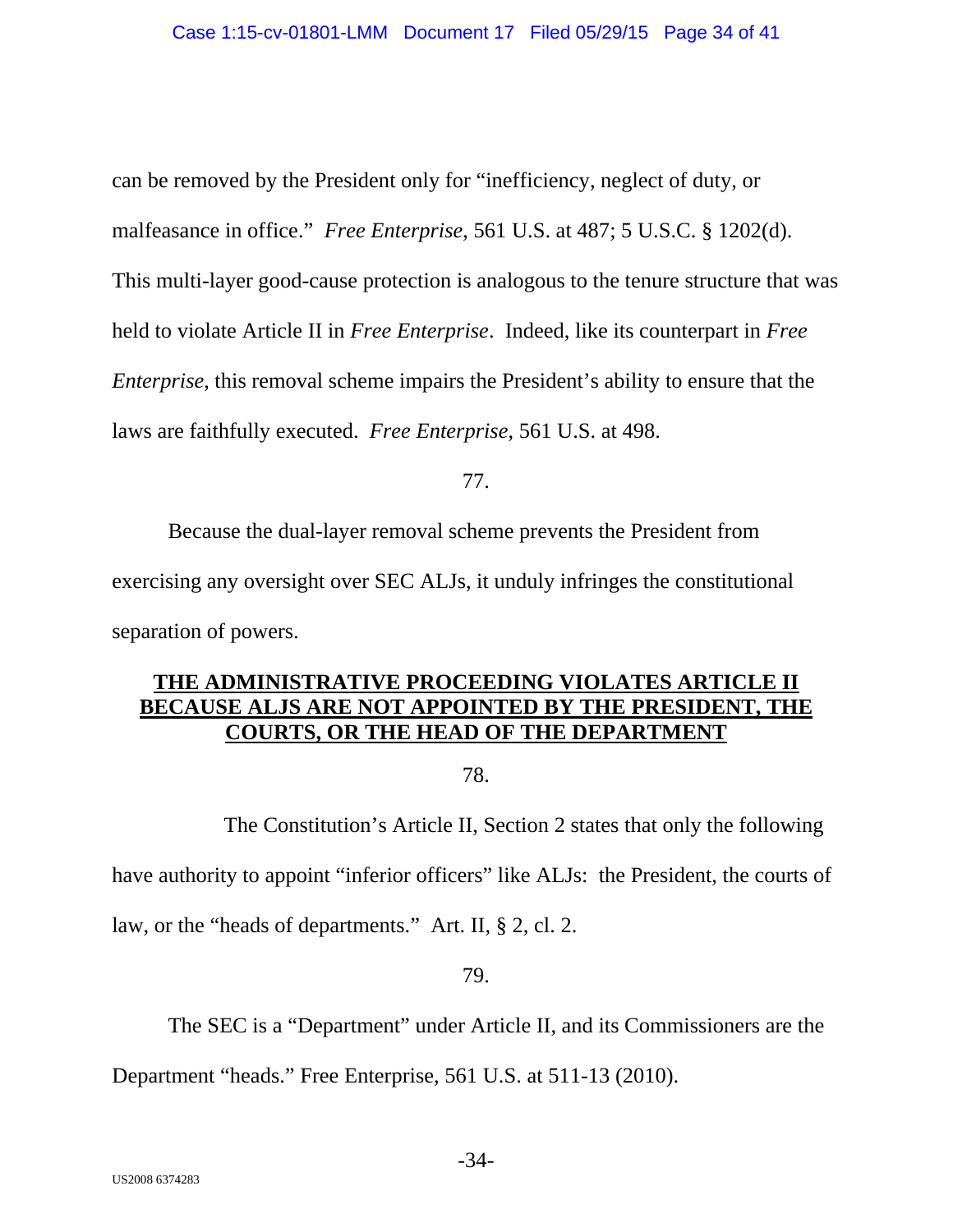can be removed by the President only for "inefficiency, neglect of duty, or malfeasance in office." *Free Enterprise*, 561 U.S. at 487; 5 U.S.C. § 1202(d). This multi-layer good-cause protection is analogous to the tenure structure that was held to violate Article II in *Free Enterprise*. Indeed, like its counterpart in *Free Enterprise*, this removal scheme impairs the President's ability to ensure that the laws are faithfully executed. *Free Enterprise*, 561 U.S. at 498.

77.

Because the dual-layer removal scheme prevents the President from exercising any oversight over SEC ALJs, it unduly infringes the constitutional separation of powers.

# **THE ADMINISTRATIVE PROCEEDING VIOLATES ARTICLE II BECAUSE ALJS ARE NOT APPOINTED BY THE PRESIDENT, THE COURTS, OR THE HEAD OF THE DEPARTMENT**

78.

 The Constitution's Article II, Section 2 states that only the following have authority to appoint "inferior officers" like ALJs: the President, the courts of law, or the "heads of departments." Art. II, § 2, cl. 2.

# 79.

The SEC is a "Department" under Article II, and its Commissioners are the

Department "heads." Free Enterprise, 561 U.S. at 511-13 (2010).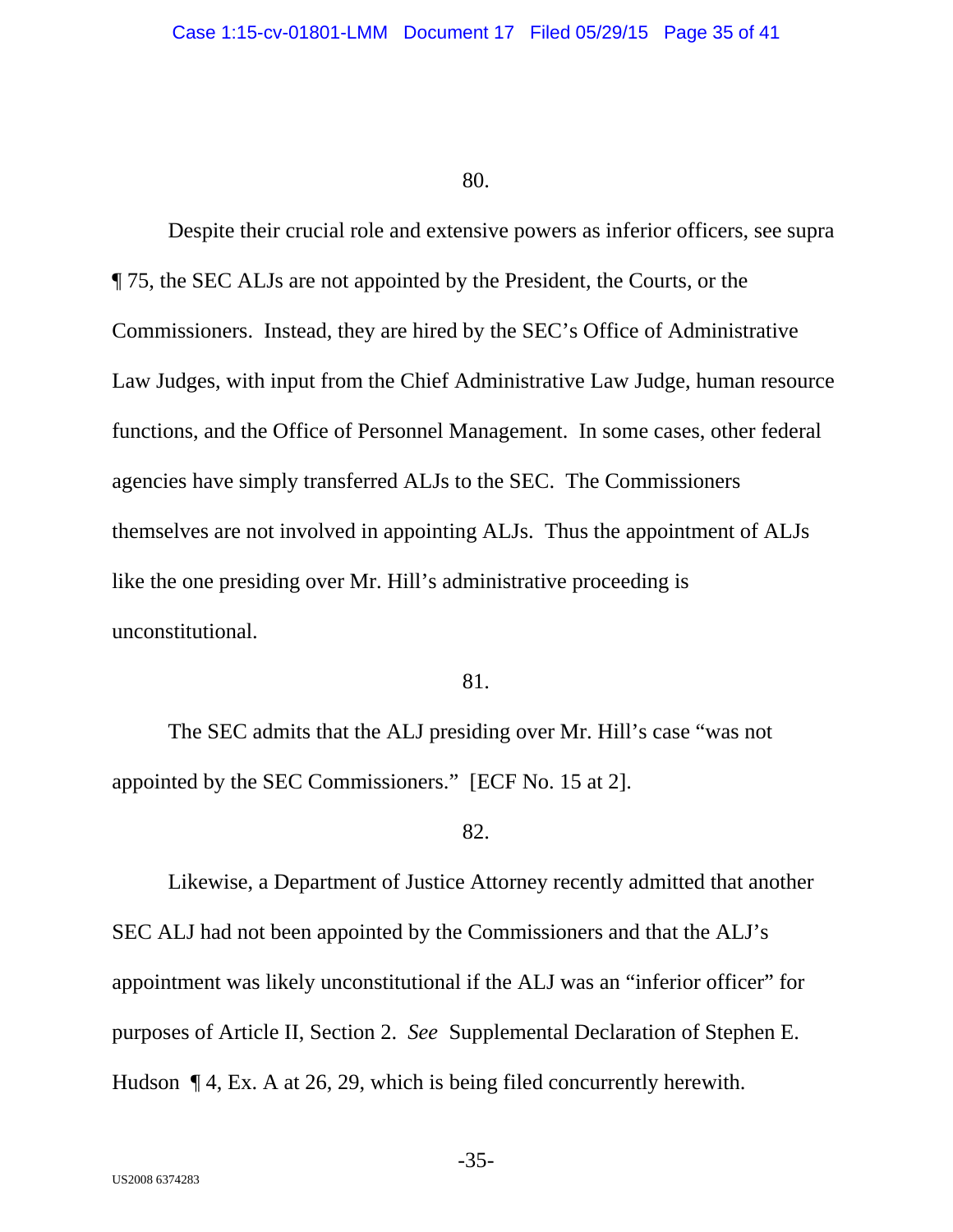Despite their crucial role and extensive powers as inferior officers, see supra ¶ 75, the SEC ALJs are not appointed by the President, the Courts, or the Commissioners. Instead, they are hired by the SEC's Office of Administrative Law Judges, with input from the Chief Administrative Law Judge, human resource functions, and the Office of Personnel Management. In some cases, other federal agencies have simply transferred ALJs to the SEC. The Commissioners themselves are not involved in appointing ALJs. Thus the appointment of ALJs like the one presiding over Mr. Hill's administrative proceeding is unconstitutional.

## 81.

The SEC admits that the ALJ presiding over Mr. Hill's case "was not appointed by the SEC Commissioners." [ECF No. 15 at 2].

### 82.

Likewise, a Department of Justice Attorney recently admitted that another SEC ALJ had not been appointed by the Commissioners and that the ALJ's appointment was likely unconstitutional if the ALJ was an "inferior officer" for purposes of Article II, Section 2. *See* Supplemental Declaration of Stephen E. Hudson ¶ 4, Ex. A at 26, 29, which is being filed concurrently herewith.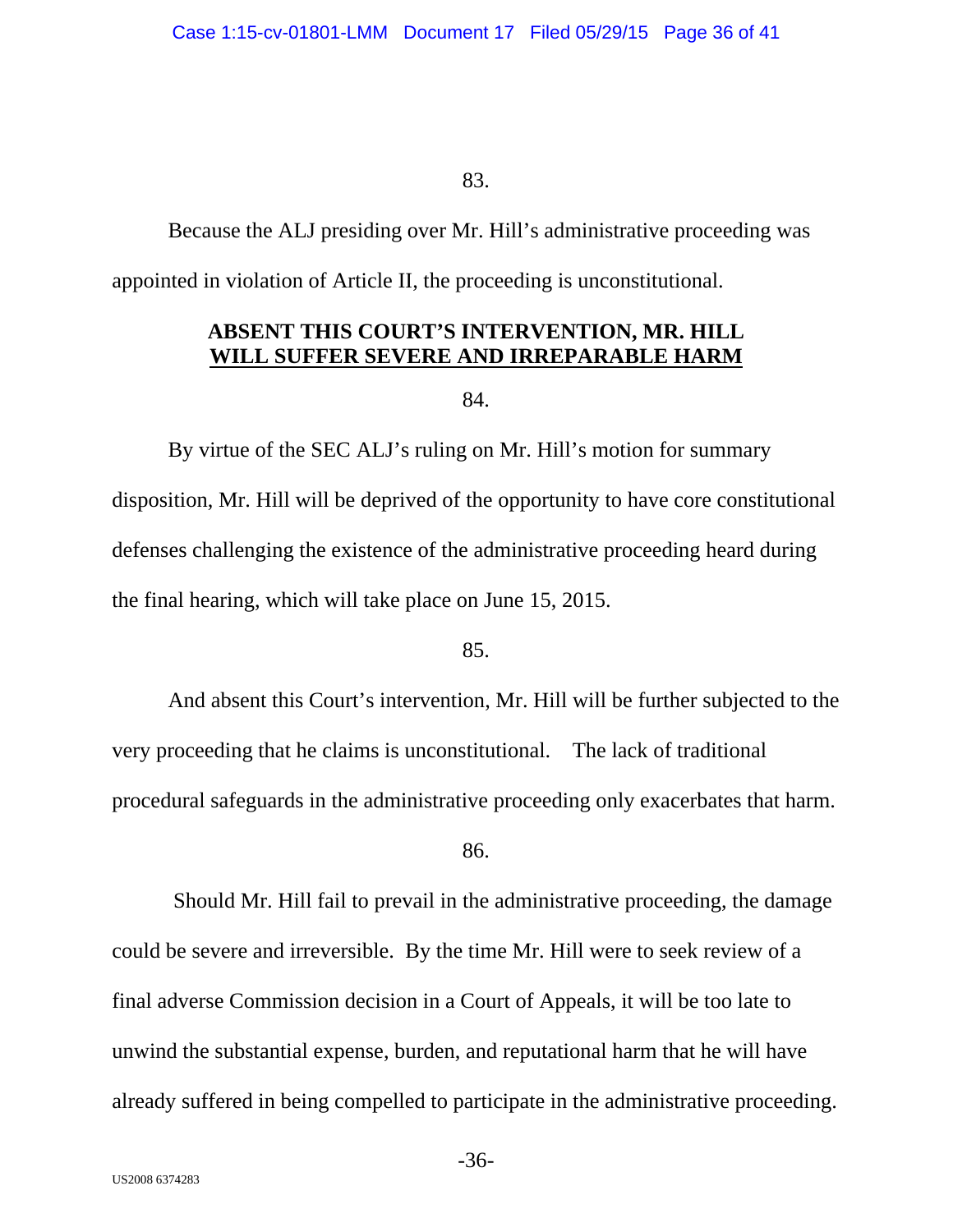Because the ALJ presiding over Mr. Hill's administrative proceeding was appointed in violation of Article II, the proceeding is unconstitutional.

# **ABSENT THIS COURT'S INTERVENTION, MR. HILL WILL SUFFER SEVERE AND IRREPARABLE HARM**

84.

By virtue of the SEC ALJ's ruling on Mr. Hill's motion for summary disposition, Mr. Hill will be deprived of the opportunity to have core constitutional defenses challenging the existence of the administrative proceeding heard during the final hearing, which will take place on June 15, 2015.

## 85.

And absent this Court's intervention, Mr. Hill will be further subjected to the very proceeding that he claims is unconstitutional. The lack of traditional procedural safeguards in the administrative proceeding only exacerbates that harm.

86.

 Should Mr. Hill fail to prevail in the administrative proceeding, the damage could be severe and irreversible. By the time Mr. Hill were to seek review of a final adverse Commission decision in a Court of Appeals, it will be too late to unwind the substantial expense, burden, and reputational harm that he will have already suffered in being compelled to participate in the administrative proceeding.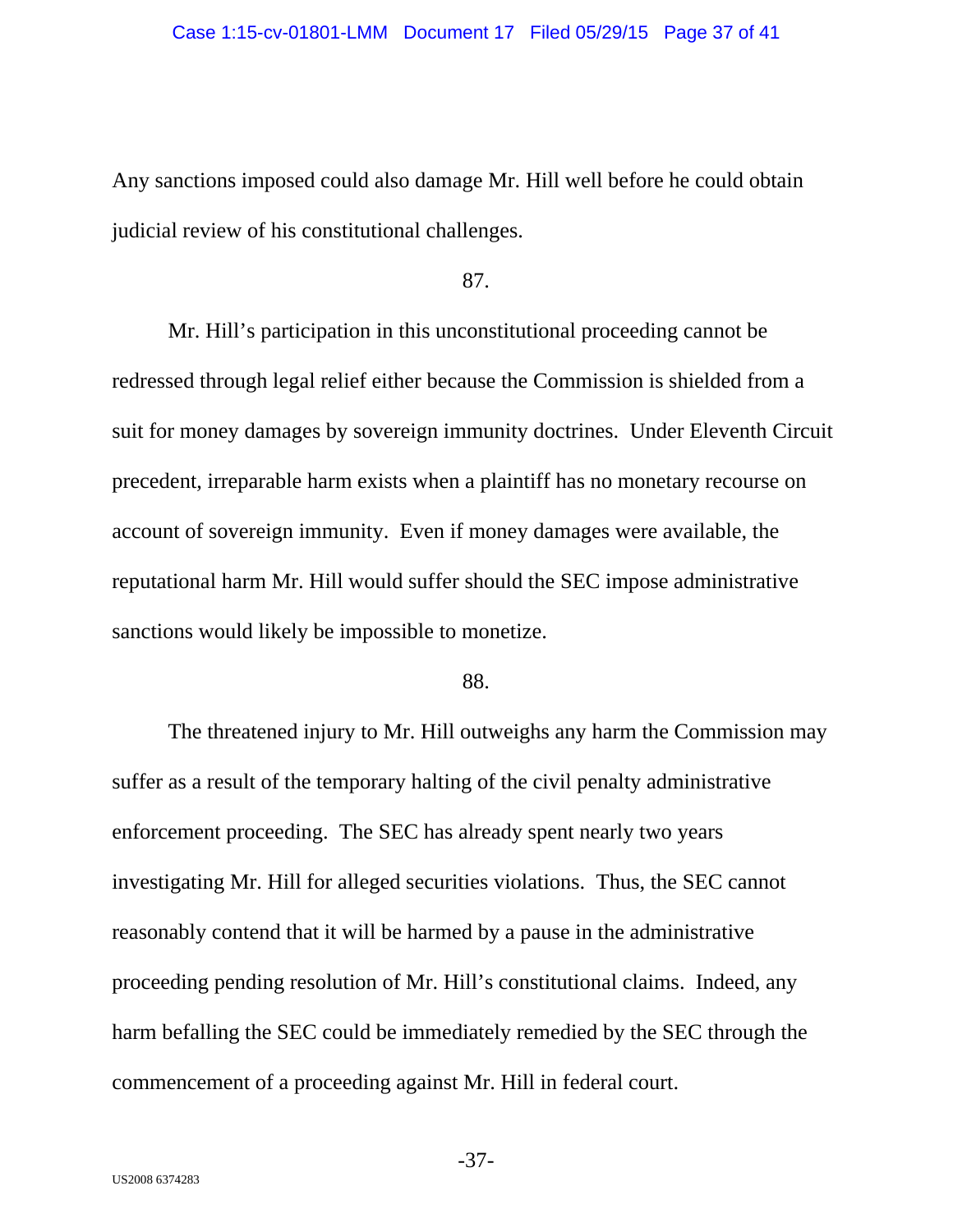Any sanctions imposed could also damage Mr. Hill well before he could obtain judicial review of his constitutional challenges.

### 87.

Mr. Hill's participation in this unconstitutional proceeding cannot be redressed through legal relief either because the Commission is shielded from a suit for money damages by sovereign immunity doctrines. Under Eleventh Circuit precedent, irreparable harm exists when a plaintiff has no monetary recourse on account of sovereign immunity. Even if money damages were available, the reputational harm Mr. Hill would suffer should the SEC impose administrative sanctions would likely be impossible to monetize.

#### 88.

The threatened injury to Mr. Hill outweighs any harm the Commission may suffer as a result of the temporary halting of the civil penalty administrative enforcement proceeding. The SEC has already spent nearly two years investigating Mr. Hill for alleged securities violations. Thus, the SEC cannot reasonably contend that it will be harmed by a pause in the administrative proceeding pending resolution of Mr. Hill's constitutional claims. Indeed, any harm befalling the SEC could be immediately remedied by the SEC through the commencement of a proceeding against Mr. Hill in federal court.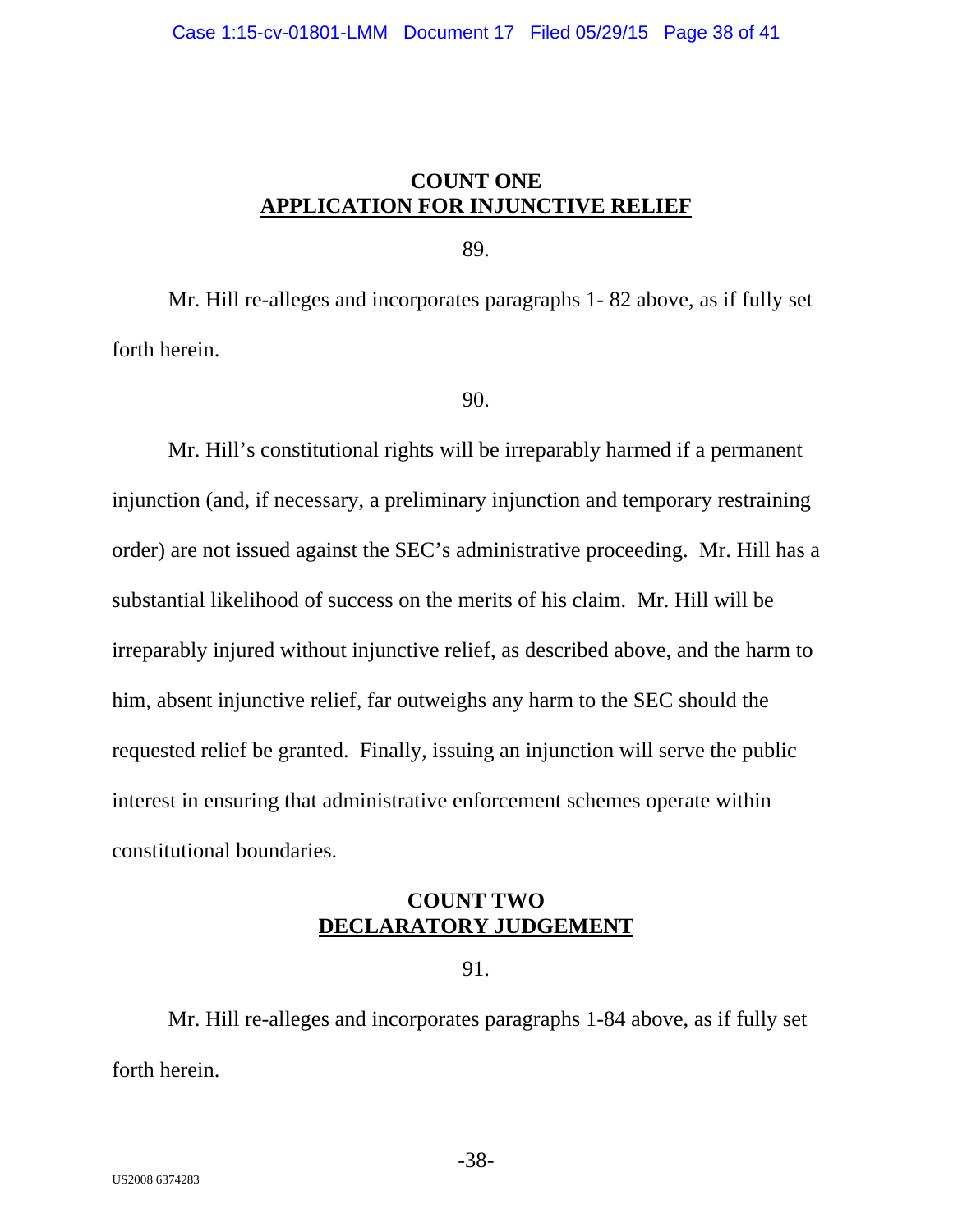# **COUNT ONE APPLICATION FOR INJUNCTIVE RELIEF**

89.

Mr. Hill re-alleges and incorporates paragraphs 1- 82 above, as if fully set forth herein.

## 90.

Mr. Hill's constitutional rights will be irreparably harmed if a permanent injunction (and, if necessary, a preliminary injunction and temporary restraining order) are not issued against the SEC's administrative proceeding. Mr. Hill has a substantial likelihood of success on the merits of his claim. Mr. Hill will be irreparably injured without injunctive relief, as described above, and the harm to him, absent injunctive relief, far outweighs any harm to the SEC should the requested relief be granted. Finally, issuing an injunction will serve the public interest in ensuring that administrative enforcement schemes operate within constitutional boundaries.

# **COUNT TWO DECLARATORY JUDGEMENT**

## 91.

Mr. Hill re-alleges and incorporates paragraphs 1-84 above, as if fully set forth herein.

-38-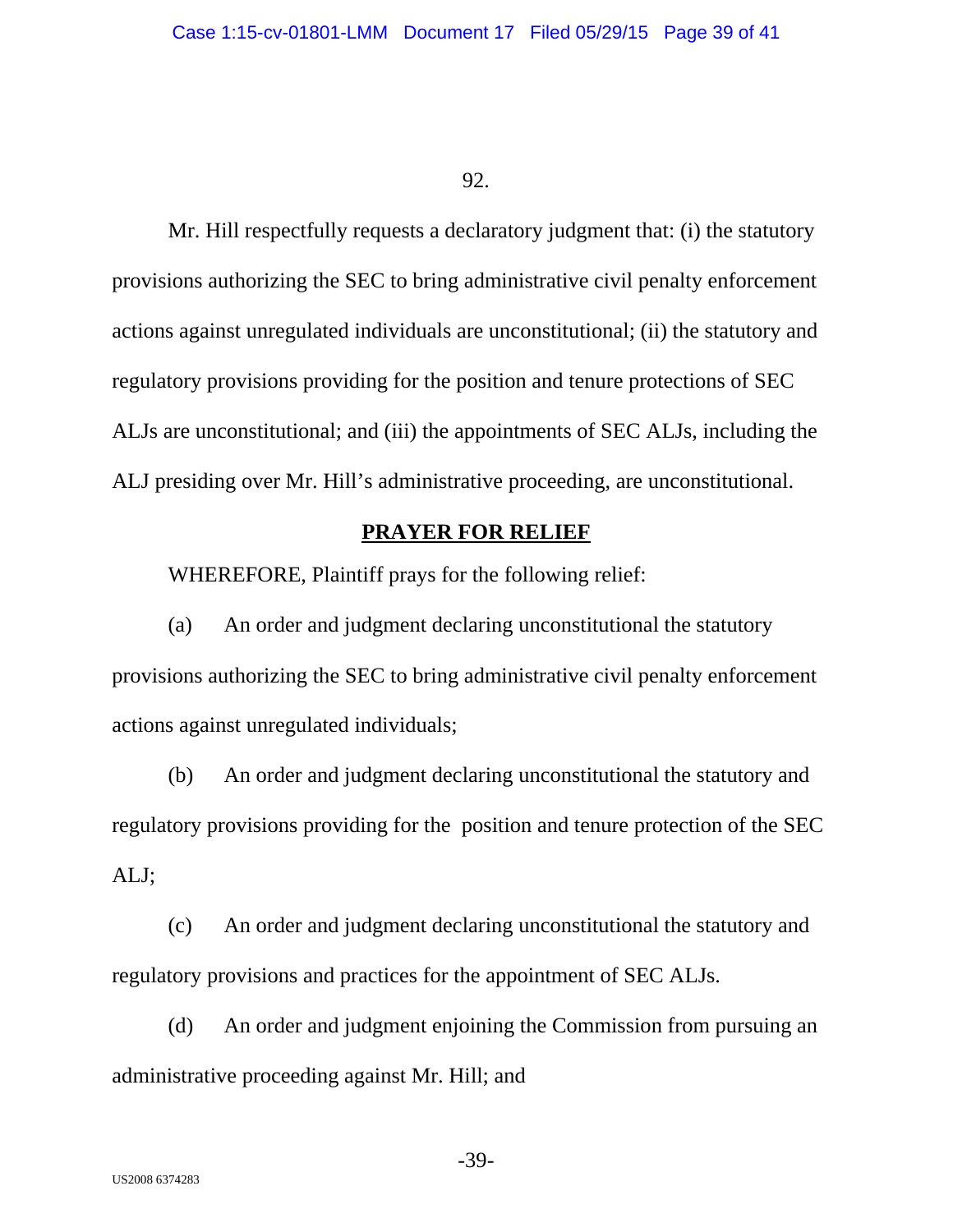Mr. Hill respectfully requests a declaratory judgment that: (i) the statutory provisions authorizing the SEC to bring administrative civil penalty enforcement actions against unregulated individuals are unconstitutional; (ii) the statutory and regulatory provisions providing for the position and tenure protections of SEC ALJs are unconstitutional; and (iii) the appointments of SEC ALJs, including the ALJ presiding over Mr. Hill's administrative proceeding, are unconstitutional.

# **PRAYER FOR RELIEF**

WHEREFORE, Plaintiff prays for the following relief:

(a) An order and judgment declaring unconstitutional the statutory provisions authorizing the SEC to bring administrative civil penalty enforcement actions against unregulated individuals;

(b) An order and judgment declaring unconstitutional the statutory and regulatory provisions providing for the position and tenure protection of the SEC ALJ;

(c) An order and judgment declaring unconstitutional the statutory and regulatory provisions and practices for the appointment of SEC ALJs.

(d) An order and judgment enjoining the Commission from pursuing an administrative proceeding against Mr. Hill; and

-39-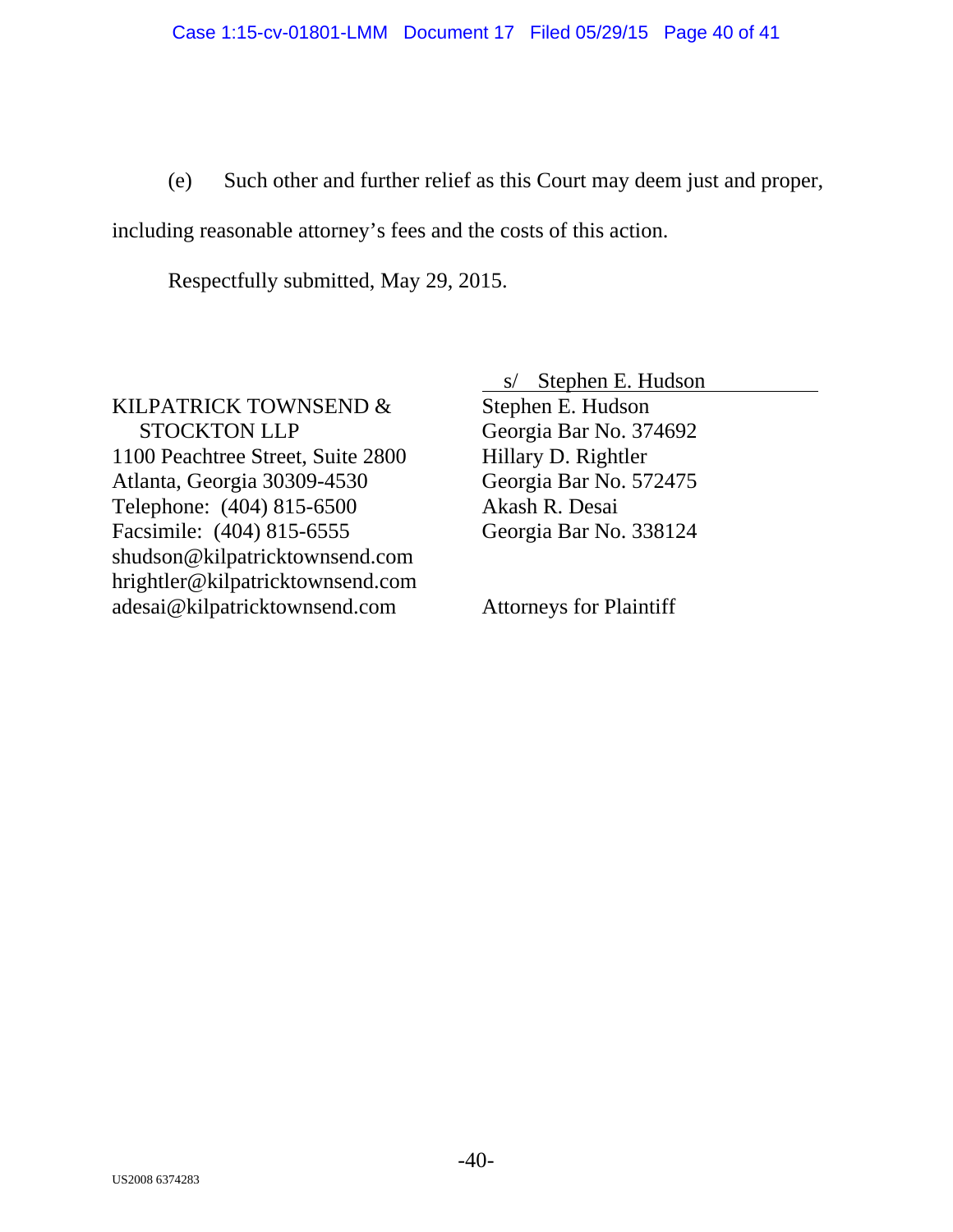(e) Such other and further relief as this Court may deem just and proper,

including reasonable attorney's fees and the costs of this action.

Respectfully submitted, May 29, 2015.

KILPATRICK TOWNSEND & STOCKTON LLP 1100 Peachtree Street, Suite 2800 Atlanta, Georgia 30309-4530 Telephone: (404) 815-6500 Facsimile: (404) 815-6555 shudson@kilpatricktownsend.com hrightler@kilpatricktownsend.com adesai@kilpatricktownsend.com

 s/ Stephen E. Hudson Stephen E. Hudson Georgia Bar No. 374692 Hillary D. Rightler Georgia Bar No. 572475 Akash R. Desai Georgia Bar No. 338124

Attorneys for Plaintiff